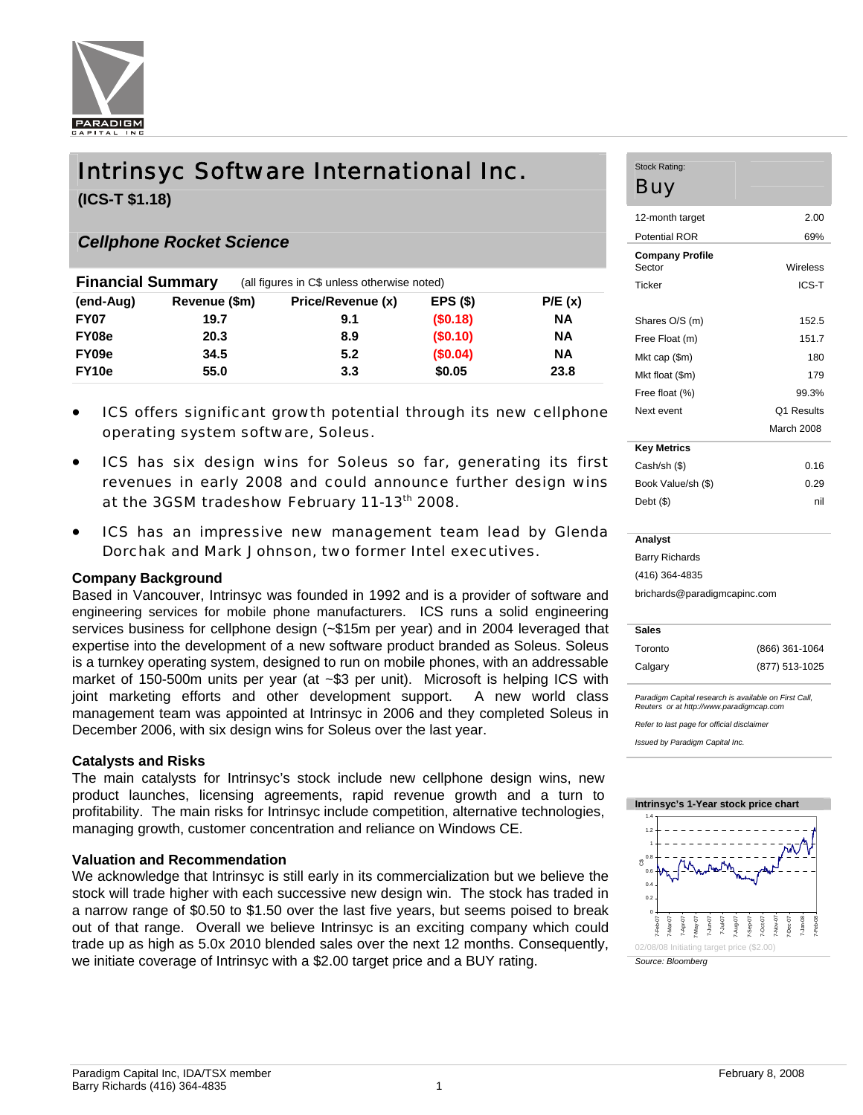

# Intrinsyc Software International Inc.

**(ICS-T \$1.18)** 

### *Cellphone Rocket Science*

| <b>Financial Summary</b> |               | (all figures in C\$ unless otherwise noted) |          |           |
|--------------------------|---------------|---------------------------------------------|----------|-----------|
| (end-Aug)                | Revenue (\$m) | Price/Revenue (x)                           | EPS(S)   | P/E(x)    |
| <b>FY07</b>              | 19.7          | 9.1                                         | (\$0.18) | <b>NA</b> |
| FY08e                    | 20.3          | 8.9                                         | (\$0.10) | <b>NA</b> |
| FY09e                    | 34.5          | 5.2                                         | (\$0.04) | <b>NA</b> |
| FY <sub>10e</sub>        | 55.0          | 3.3                                         | \$0.05   | 23.8      |

- ICS offers significant growth potential through its new cellphone operating system software, Soleus.
- ICS has six design wins for Soleus so far, generating its first revenues in early 2008 and could announce further design wins at the 3GSM tradeshow February 11-13th 2008.
- ICS has an impressive new management team lead by Glenda Dorchak and Mark Johnson, two former Intel executives.

### **Company Background**

Based in Vancouver, Intrinsyc was founded in 1992 and is a provider of software and engineering services for mobile phone manufacturers. ICS runs a solid engineering services business for cellphone design (~\$15m per year) and in 2004 leveraged that expertise into the development of a new software product branded as Soleus. Soleus is a turnkey operating system, designed to run on mobile phones, with an addressable market of 150-500m units per year (at ~\$3 per unit). Microsoft is helping ICS with joint marketing efforts and other development support. A new world class management team was appointed at Intrinsyc in 2006 and they completed Soleus in December 2006, with six design wins for Soleus over the last year.

#### **Catalysts and Risks**

The main catalysts for Intrinsyc's stock include new cellphone design wins, new product launches, licensing agreements, rapid revenue growth and a turn to profitability. The main risks for Intrinsyc include competition, alternative technologies, managing growth, customer concentration and reliance on Windows CE.

#### **Valuation and Recommendation**

We acknowledge that Intrinsyc is still early in its commercialization but we believe the stock will trade higher with each successive new design win. The stock has traded in a narrow range of \$0.50 to \$1.50 over the last five years, but seems poised to break out of that range. Overall we believe Intrinsyc is an exciting company which could trade up as high as 5.0x 2010 blended sales over the next 12 months. Consequently, we initiate coverage of Intrinsyc with a \$2.00 target price and a BUY rating.

#### Stock Rating: Buy

| 2.00              |
|-------------------|
| 69%               |
| Wireless          |
| ICS-T             |
|                   |
| 152.5             |
| 1517              |
| 180               |
| 179               |
| 99.3%             |
| <b>Q1 Results</b> |
| March 2008        |
|                   |
| 0.16              |
| በ 29              |
|                   |

#### **Analyst**

Barry Richards (416) 364-4835

brichards@paradigmcapinc.com

| <b>Sales</b> |                |
|--------------|----------------|
| Toronto      | (866) 361-1064 |
| Calgary      | (877) 513-1025 |

Debt (\$) nil

*Paradigm Capital research is available on First Call, Reuters or at http://www.paradigmcap.com* 

*Refer to last page for official disclaimer* 

*Issued by Paradigm Capital Inc.* 

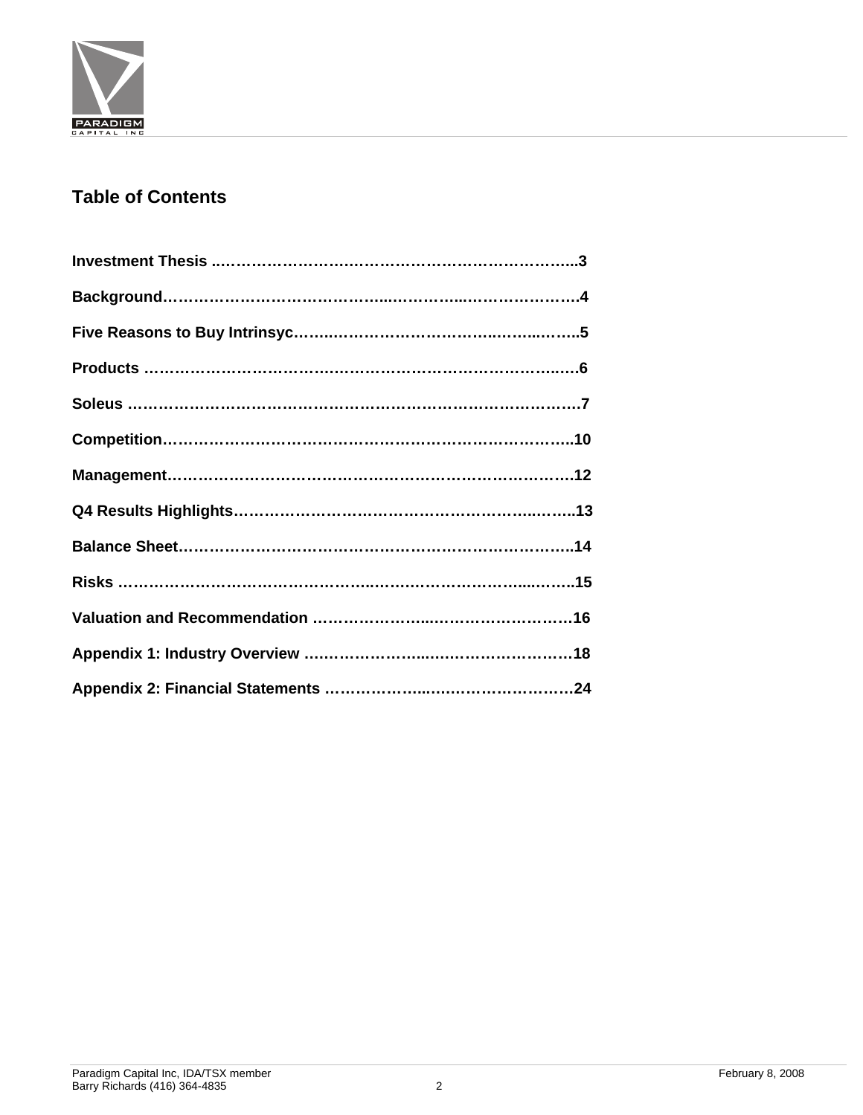

## **Table of Contents**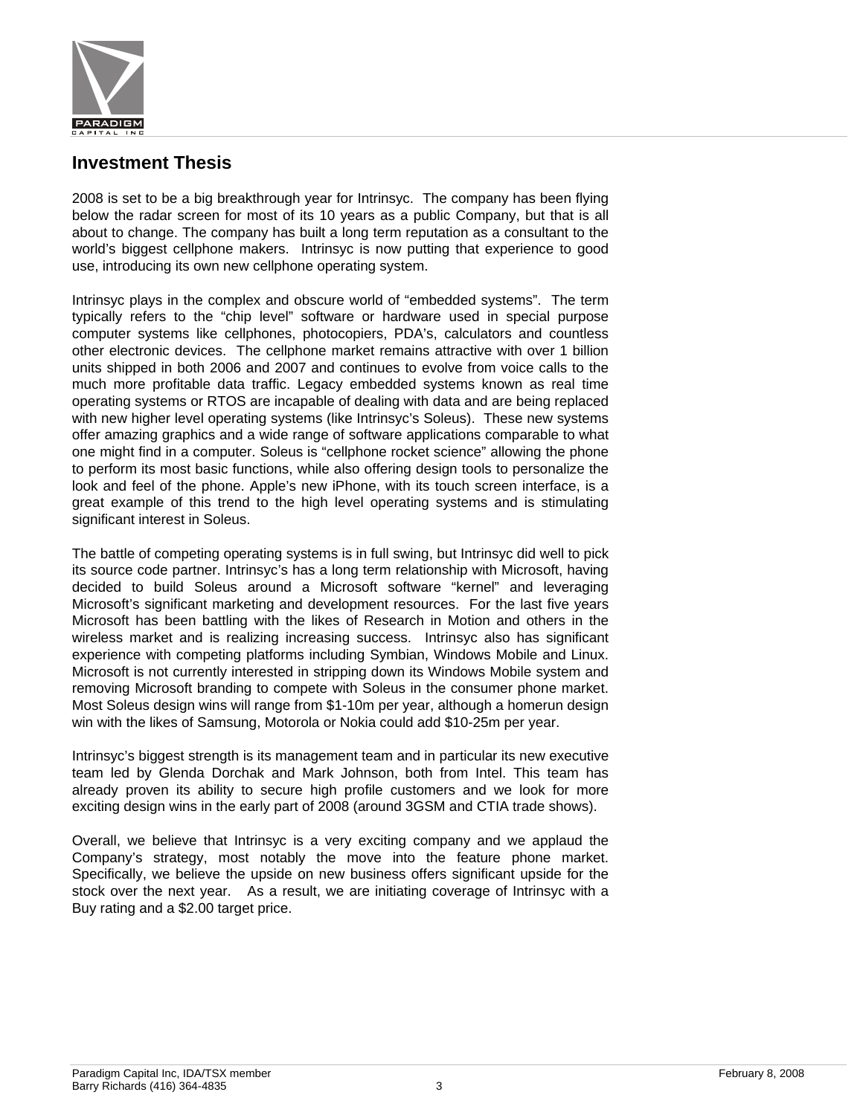

### **Investment Thesis**

2008 is set to be a big breakthrough year for Intrinsyc. The company has been flying below the radar screen for most of its 10 years as a public Company, but that is all about to change. The company has built a long term reputation as a consultant to the world's biggest cellphone makers. Intrinsyc is now putting that experience to good use, introducing its own new cellphone operating system.

Intrinsyc plays in the complex and obscure world of "embedded systems". The term typically refers to the "chip level" software or hardware used in special purpose computer systems like cellphones, photocopiers, PDA's, calculators and countless other electronic devices. The cellphone market remains attractive with over 1 billion units shipped in both 2006 and 2007 and continues to evolve from voice calls to the much more profitable data traffic. Legacy embedded systems known as real time operating systems or RTOS are incapable of dealing with data and are being replaced with new higher level operating systems (like Intrinsyc's Soleus). These new systems offer amazing graphics and a wide range of software applications comparable to what one might find in a computer. Soleus is "cellphone rocket science" allowing the phone to perform its most basic functions, while also offering design tools to personalize the look and feel of the phone. Apple's new iPhone, with its touch screen interface, is a great example of this trend to the high level operating systems and is stimulating significant interest in Soleus.

The battle of competing operating systems is in full swing, but Intrinsyc did well to pick its source code partner. Intrinsyc's has a long term relationship with Microsoft, having decided to build Soleus around a Microsoft software "kernel" and leveraging Microsoft's significant marketing and development resources. For the last five years Microsoft has been battling with the likes of Research in Motion and others in the wireless market and is realizing increasing success. Intrinsyc also has significant experience with competing platforms including Symbian, Windows Mobile and Linux. Microsoft is not currently interested in stripping down its Windows Mobile system and removing Microsoft branding to compete with Soleus in the consumer phone market. Most Soleus design wins will range from \$1-10m per year, although a homerun design win with the likes of Samsung, Motorola or Nokia could add \$10-25m per year.

Intrinsyc's biggest strength is its management team and in particular its new executive team led by Glenda Dorchak and Mark Johnson, both from Intel. This team has already proven its ability to secure high profile customers and we look for more exciting design wins in the early part of 2008 (around 3GSM and CTIA trade shows).

Overall, we believe that Intrinsyc is a very exciting company and we applaud the Company's strategy, most notably the move into the feature phone market. Specifically, we believe the upside on new business offers significant upside for the stock over the next year. As a result, we are initiating coverage of Intrinsyc with a Buy rating and a \$2.00 target price.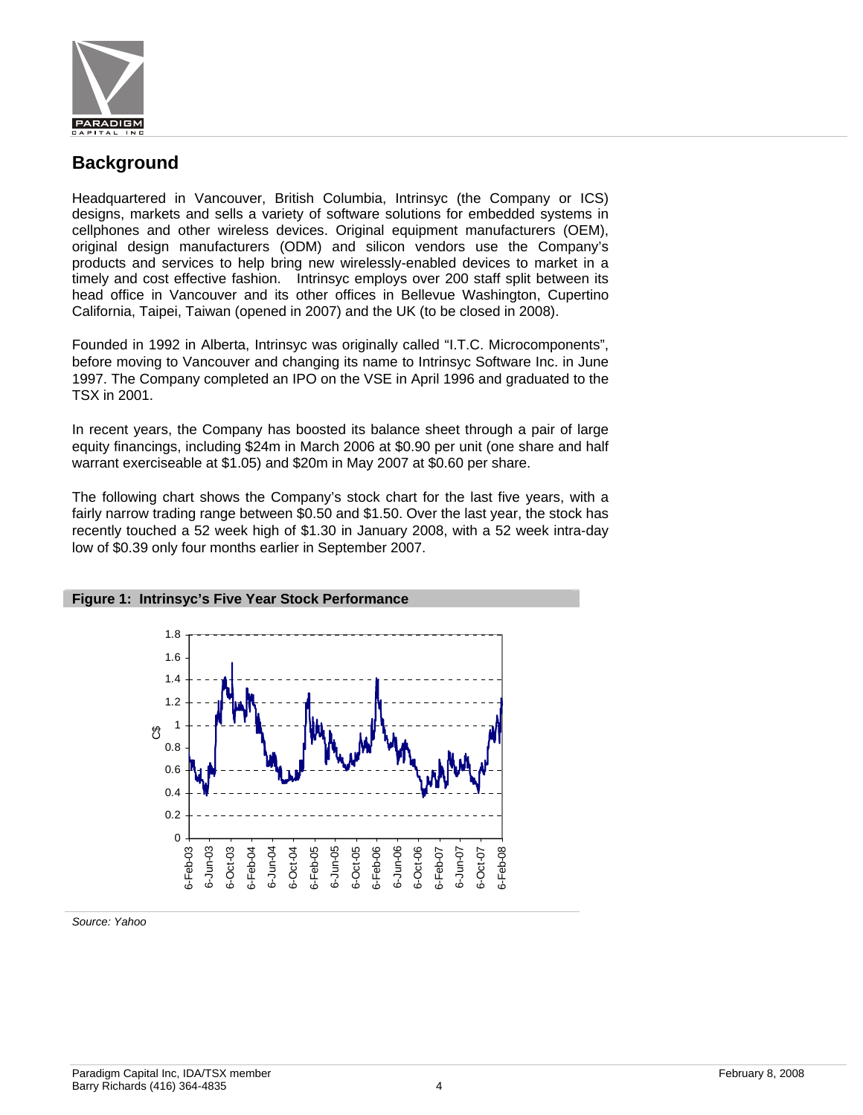

### **Background**

Headquartered in Vancouver, British Columbia, Intrinsyc (the Company or ICS) designs, markets and sells a variety of software solutions for embedded systems in cellphones and other wireless devices. Original equipment manufacturers (OEM), original design manufacturers (ODM) and silicon vendors use the Company's products and services to help bring new wirelessly-enabled devices to market in a timely and cost effective fashion. Intrinsyc employs over 200 staff split between its head office in Vancouver and its other offices in Bellevue Washington, Cupertino California, Taipei, Taiwan (opened in 2007) and the UK (to be closed in 2008).

Founded in 1992 in Alberta, Intrinsyc was originally called "I.T.C. Microcomponents", before moving to Vancouver and changing its name to Intrinsyc Software Inc. in June 1997. The Company completed an IPO on the VSE in April 1996 and graduated to the TSX in 2001.

In recent years, the Company has boosted its balance sheet through a pair of large equity financings, including \$24m in March 2006 at \$0.90 per unit (one share and half warrant exerciseable at \$1.05) and \$20m in May 2007 at \$0.60 per share.

The following chart shows the Company's stock chart for the last five years, with a fairly narrow trading range between \$0.50 and \$1.50. Over the last year, the stock has recently touched a 52 week high of \$1.30 in January 2008, with a 52 week intra-day low of \$0.39 only four months earlier in September 2007.



# **Figure 1: Intrinsyc's Five Year Stock Performance**

*Source: Yahoo*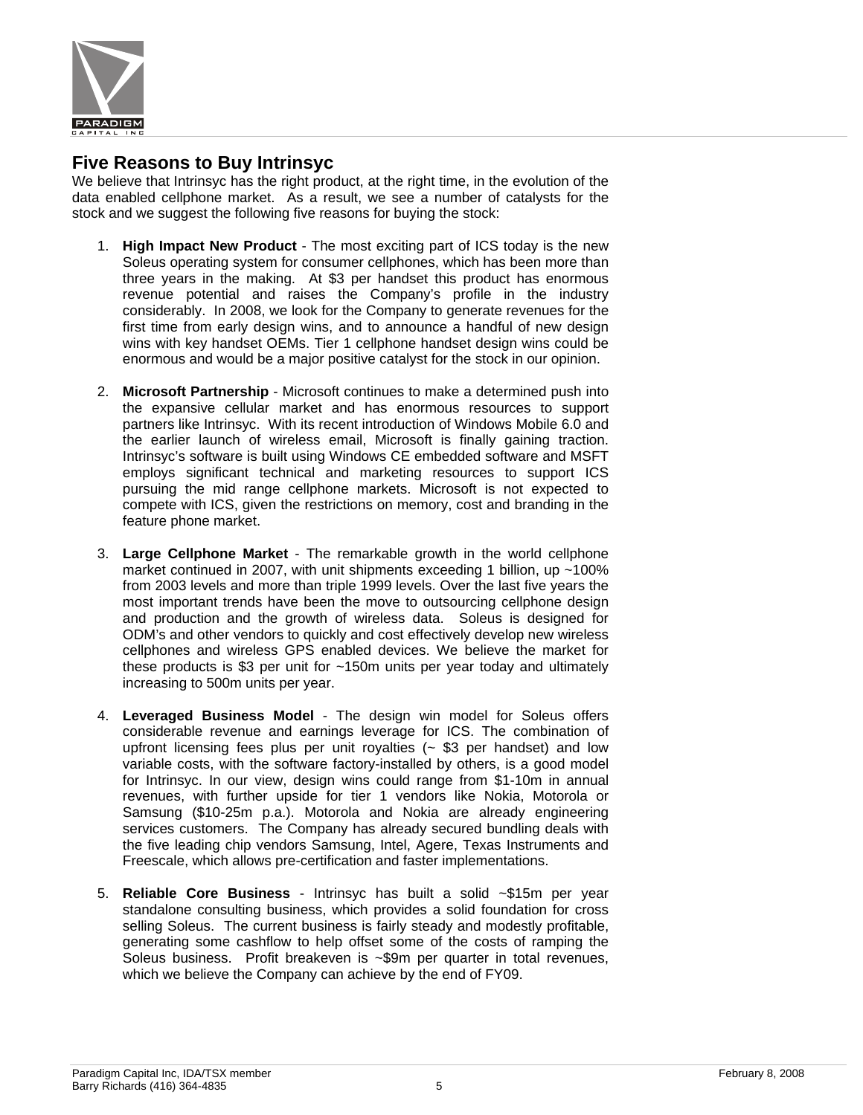

### **Five Reasons to Buy Intrinsyc**

We believe that Intrinsyc has the right product, at the right time, in the evolution of the data enabled cellphone market. As a result, we see a number of catalysts for the stock and we suggest the following five reasons for buying the stock:

- 1. **High Impact New Product**  The most exciting part of ICS today is the new Soleus operating system for consumer cellphones, which has been more than three years in the making. At \$3 per handset this product has enormous revenue potential and raises the Company's profile in the industry considerably. In 2008, we look for the Company to generate revenues for the first time from early design wins, and to announce a handful of new design wins with key handset OEMs. Tier 1 cellphone handset design wins could be enormous and would be a major positive catalyst for the stock in our opinion.
- 2. **Microsoft Partnership** Microsoft continues to make a determined push into the expansive cellular market and has enormous resources to support partners like Intrinsyc. With its recent introduction of Windows Mobile 6.0 and the earlier launch of wireless email, Microsoft is finally gaining traction. Intrinsyc's software is built using Windows CE embedded software and MSFT employs significant technical and marketing resources to support ICS pursuing the mid range cellphone markets. Microsoft is not expected to compete with ICS, given the restrictions on memory, cost and branding in the feature phone market.
- 3. **Large Cellphone Market**  The remarkable growth in the world cellphone market continued in 2007, with unit shipments exceeding 1 billion, up ~100% from 2003 levels and more than triple 1999 levels. Over the last five years the most important trends have been the move to outsourcing cellphone design and production and the growth of wireless data. Soleus is designed for ODM's and other vendors to quickly and cost effectively develop new wireless cellphones and wireless GPS enabled devices. We believe the market for these products is \$3 per unit for ~150m units per year today and ultimately increasing to 500m units per year.
- 4. **Leveraged Business Model**  The design win model for Soleus offers considerable revenue and earnings leverage for ICS. The combination of upfront licensing fees plus per unit royalties  $($   $\&$  \$3 per handset) and low variable costs, with the software factory-installed by others, is a good model for Intrinsyc. In our view, design wins could range from \$1-10m in annual revenues, with further upside for tier 1 vendors like Nokia, Motorola or Samsung (\$10-25m p.a.). Motorola and Nokia are already engineering services customers. The Company has already secured bundling deals with the five leading chip vendors Samsung, Intel, Agere, Texas Instruments and Freescale, which allows pre-certification and faster implementations.
- 5. **Reliable Core Business**  Intrinsyc has built a solid ~\$15m per year standalone consulting business, which provides a solid foundation for cross selling Soleus. The current business is fairly steady and modestly profitable, generating some cashflow to help offset some of the costs of ramping the Soleus business. Profit breakeven is ~\$9m per quarter in total revenues, which we believe the Company can achieve by the end of FY09.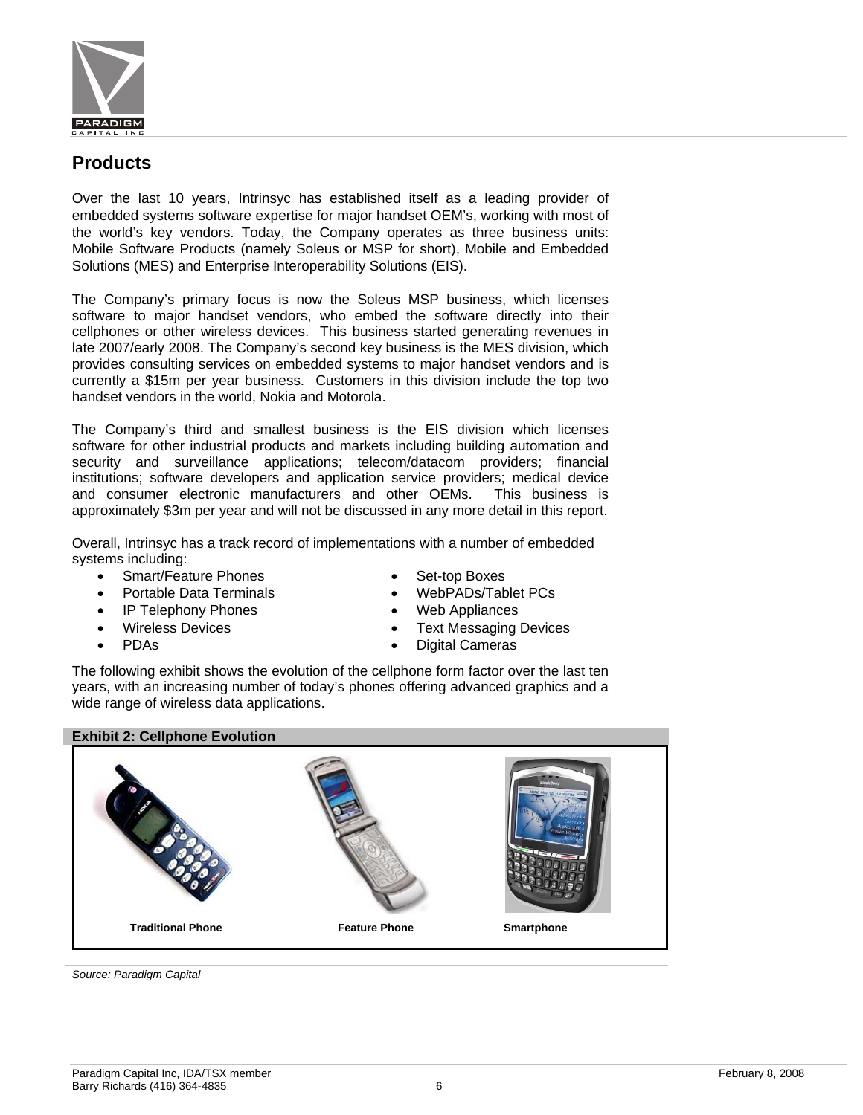

### **Products**

Over the last 10 years, Intrinsyc has established itself as a leading provider of embedded systems software expertise for major handset OEM's, working with most of the world's key vendors. Today, the Company operates as three business units: Mobile Software Products (namely Soleus or MSP for short), Mobile and Embedded Solutions (MES) and Enterprise Interoperability Solutions (EIS).

The Company's primary focus is now the Soleus MSP business, which licenses software to major handset vendors, who embed the software directly into their cellphones or other wireless devices. This business started generating revenues in late 2007/early 2008. The Company's second key business is the MES division, which provides consulting services on embedded systems to major handset vendors and is currently a \$15m per year business. Customers in this division include the top two handset vendors in the world, Nokia and Motorola.

The Company's third and smallest business is the EIS division which licenses software for other industrial products and markets including building automation and security and surveillance applications; telecom/datacom providers; financial institutions; software developers and application service providers; medical device and consumer electronic manufacturers and other OEMs. This business is approximately \$3m per year and will not be discussed in any more detail in this report.

Overall, Intrinsyc has a track record of implementations with a number of embedded systems including:

- Smart/Feature Phones
- Portable Data Terminals
- IP Telephony Phones
- Wireless Devices
- PDAs
- Set-top Boxes
- WebPADs/Tablet PCs
- Web Appliances
- **Text Messaging Devices**
- **Digital Cameras**

The following exhibit shows the evolution of the cellphone form factor over the last ten years, with an increasing number of today's phones offering advanced graphics and a wide range of wireless data applications.

### **Exhibit 2: Cellphone Evolution**



*Source: Paradigm Capital*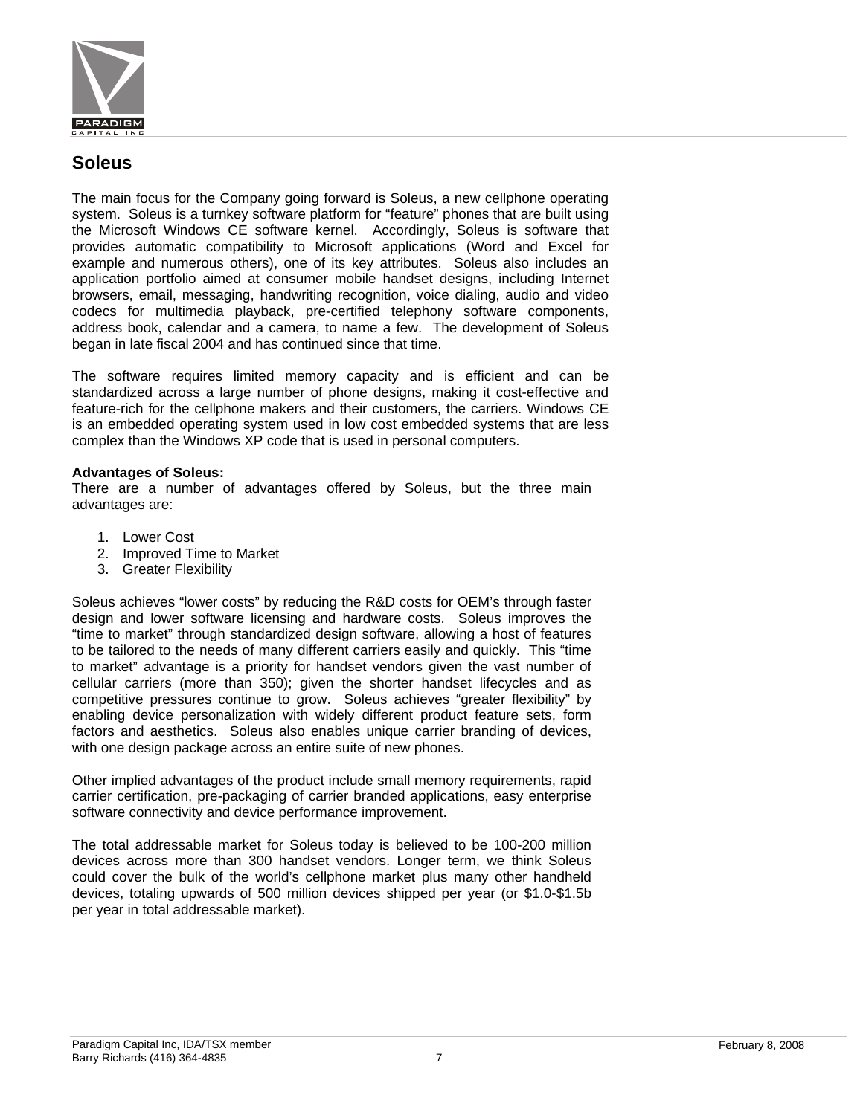

### **Soleus**

The main focus for the Company going forward is Soleus, a new cellphone operating system. Soleus is a turnkey software platform for "feature" phones that are built using the Microsoft Windows CE software kernel. Accordingly, Soleus is software that provides automatic compatibility to Microsoft applications (Word and Excel for example and numerous others), one of its key attributes. Soleus also includes an application portfolio aimed at consumer mobile handset designs, including Internet browsers, email, messaging, handwriting recognition, voice dialing, audio and video codecs for multimedia playback, pre-certified telephony software components, address book, calendar and a camera, to name a few. The development of Soleus began in late fiscal 2004 and has continued since that time.

The software requires limited memory capacity and is efficient and can be standardized across a large number of phone designs, making it cost-effective and feature-rich for the cellphone makers and their customers, the carriers. Windows CE is an embedded operating system used in low cost embedded systems that are less complex than the Windows XP code that is used in personal computers.

### **Advantages of Soleus:**

There are a number of advantages offered by Soleus, but the three main advantages are:

- 1. Lower Cost
- 2. Improved Time to Market
- 3. Greater Flexibility

Soleus achieves "lower costs" by reducing the R&D costs for OEM's through faster design and lower software licensing and hardware costs. Soleus improves the "time to market" through standardized design software, allowing a host of features to be tailored to the needs of many different carriers easily and quickly. This "time to market" advantage is a priority for handset vendors given the vast number of cellular carriers (more than 350); given the shorter handset lifecycles and as competitive pressures continue to grow. Soleus achieves "greater flexibility" by enabling device personalization with widely different product feature sets, form factors and aesthetics. Soleus also enables unique carrier branding of devices, with one design package across an entire suite of new phones.

Other implied advantages of the product include small memory requirements, rapid carrier certification, pre-packaging of carrier branded applications, easy enterprise software connectivity and device performance improvement.

The total addressable market for Soleus today is believed to be 100-200 million devices across more than 300 handset vendors. Longer term, we think Soleus could cover the bulk of the world's cellphone market plus many other handheld devices, totaling upwards of 500 million devices shipped per year (or \$1.0-\$1.5b per year in total addressable market).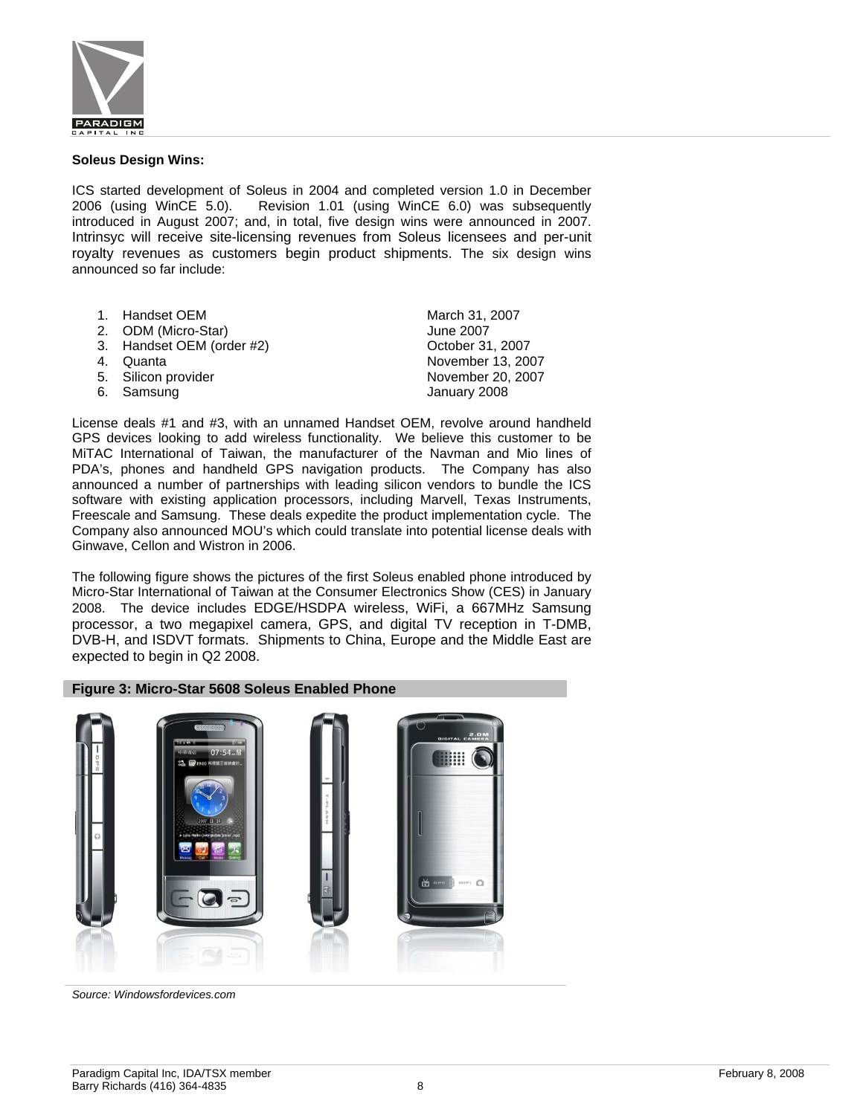

#### **Soleus Design Wins:**

ICS started development of Soleus in 2004 and completed version 1.0 in December 2006 (using WinCE 5.0). Revision 1.01 (using WinCE 6.0) was subsequently introduced in August 2007; and, in total, five design wins were announced in 2007. Intrinsyc will receive site-licensing revenues from Soleus licensees and per-unit royalty revenues as customers begin product shipments. The six design wins announced so far include:

- 1. Handset OEM March 31, 2007
- 2. ODM (Micro-Star) June 2007
- 3. Handset OEM (order #2) Cotober 31, 2007
- 
- 
- 6. Samsung **January 2008**

4. Quanta November 13, 2007 5. Silicon provider November 20, 2007

License deals #1 and #3, with an unnamed Handset OEM, revolve around handheld GPS devices looking to add wireless functionality. We believe this customer to be MiTAC International of Taiwan, the manufacturer of the Navman and Mio lines of PDA's, phones and handheld GPS navigation products. The Company has also announced a number of partnerships with leading silicon vendors to bundle the ICS software with existing application processors, including Marvell, Texas Instruments, Freescale and Samsung. These deals expedite the product implementation cycle. The Company also announced MOU's which could translate into potential license deals with Ginwave, Cellon and Wistron in 2006.

The following figure shows the pictures of the first Soleus enabled phone introduced by Micro-Star International of Taiwan at the Consumer Electronics Show (CES) in January 2008. The device includes EDGE/HSDPA wireless, WiFi, a 667MHz Samsung processor, a two megapixel camera, GPS, and digital TV reception in T-DMB, DVB-H, and ISDVT formats. Shipments to China, Europe and the Middle East are expected to begin in Q2 2008.

#### **Figure 3: Micro-Star 5608 Soleus Enabled Phone**



*Source: Windowsfordevices.com*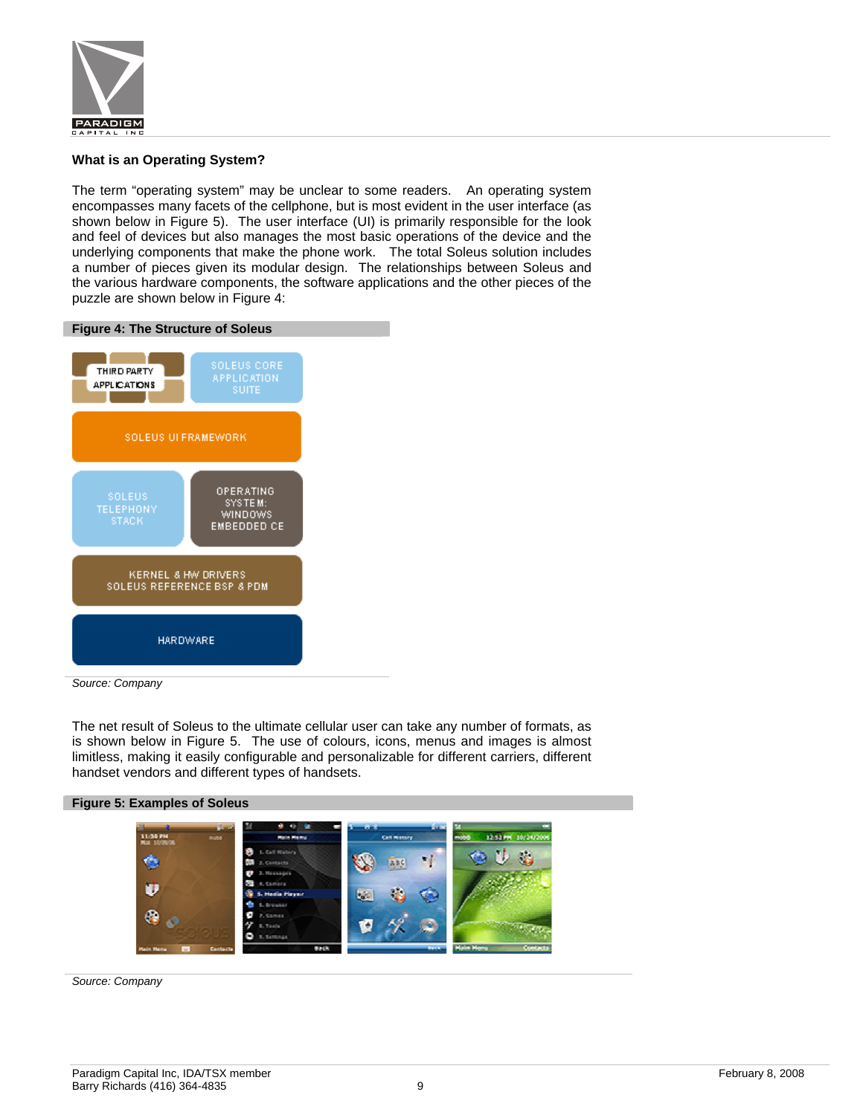

#### **What is an Operating System?**

The term "operating system" may be unclear to some readers. An operating system encompasses many facets of the cellphone, but is most evident in the user interface (as shown below in Figure 5). The user interface (UI) is primarily responsible for the look and feel of devices but also manages the most basic operations of the device and the underlying components that make the phone work. The total Soleus solution includes a number of pieces given its modular design. The relationships between Soleus and the various hardware components, the software applications and the other pieces of the puzzle are shown below in Figure 4:



*Source: Company* 

The net result of Soleus to the ultimate cellular user can take any number of formats, as is shown below in Figure 5. The use of colours, icons, menus and images is almost limitless, making it easily configurable and personalizable for different carriers, different handset vendors and different types of handsets.



*Source: Company*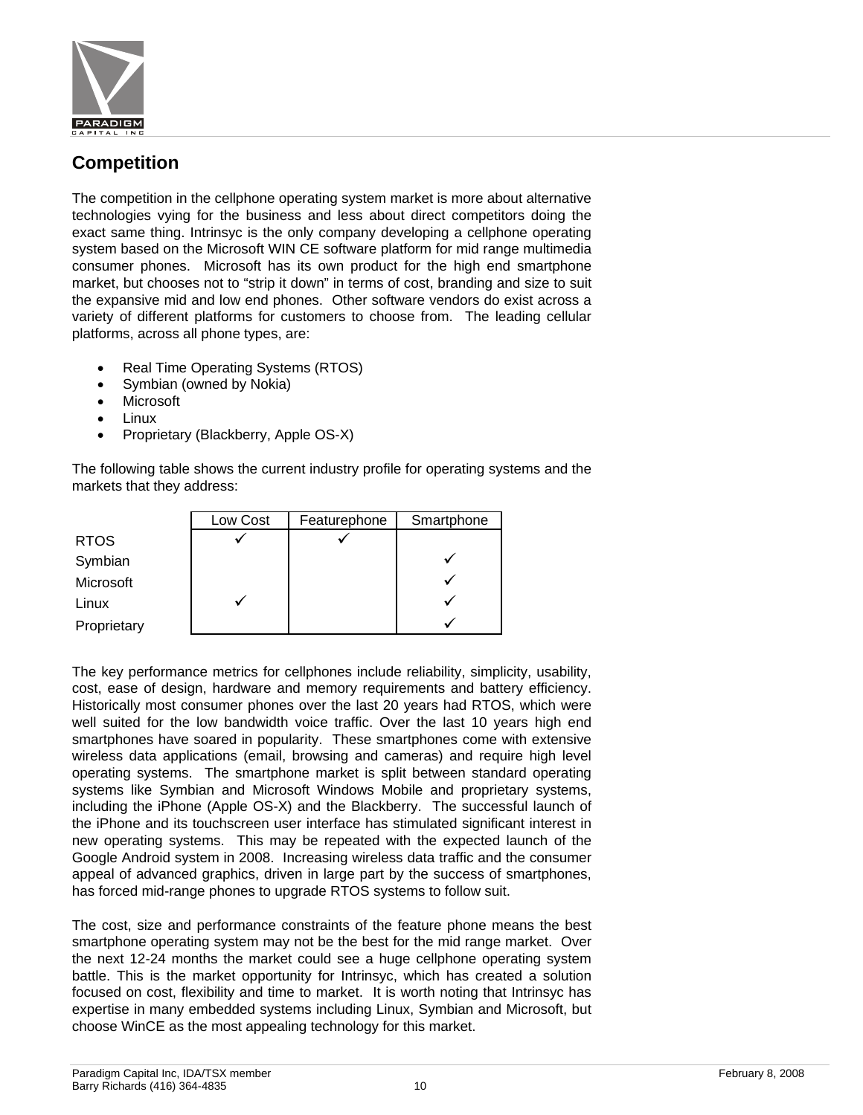

### **Competition**

The competition in the cellphone operating system market is more about alternative technologies vying for the business and less about direct competitors doing the exact same thing. Intrinsyc is the only company developing a cellphone operating system based on the Microsoft WIN CE software platform for mid range multimedia consumer phones. Microsoft has its own product for the high end smartphone market, but chooses not to "strip it down" in terms of cost, branding and size to suit the expansive mid and low end phones. Other software vendors do exist across a variety of different platforms for customers to choose from. The leading cellular platforms, across all phone types, are:

- Real Time Operating Systems (RTOS)
- Symbian (owned by Nokia)
- Microsoft
- Linux
- Proprietary (Blackberry, Apple OS-X)

The following table shows the current industry profile for operating systems and the markets that they address:

|             | Low Cost | Featurephone | Smartphone |
|-------------|----------|--------------|------------|
| <b>RTOS</b> |          |              |            |
| Symbian     |          |              |            |
| Microsoft   |          |              |            |
| Linux       |          |              |            |
| Proprietary |          |              |            |

The key performance metrics for cellphones include reliability, simplicity, usability, cost, ease of design, hardware and memory requirements and battery efficiency. Historically most consumer phones over the last 20 years had RTOS, which were well suited for the low bandwidth voice traffic. Over the last 10 years high end smartphones have soared in popularity. These smartphones come with extensive wireless data applications (email, browsing and cameras) and require high level operating systems. The smartphone market is split between standard operating systems like Symbian and Microsoft Windows Mobile and proprietary systems, including the iPhone (Apple OS-X) and the Blackberry. The successful launch of the iPhone and its touchscreen user interface has stimulated significant interest in new operating systems. This may be repeated with the expected launch of the Google Android system in 2008. Increasing wireless data traffic and the consumer appeal of advanced graphics, driven in large part by the success of smartphones, has forced mid-range phones to upgrade RTOS systems to follow suit.

The cost, size and performance constraints of the feature phone means the best smartphone operating system may not be the best for the mid range market. Over the next 12-24 months the market could see a huge cellphone operating system battle. This is the market opportunity for Intrinsyc, which has created a solution focused on cost, flexibility and time to market. It is worth noting that Intrinsyc has expertise in many embedded systems including Linux, Symbian and Microsoft, but choose WinCE as the most appealing technology for this market.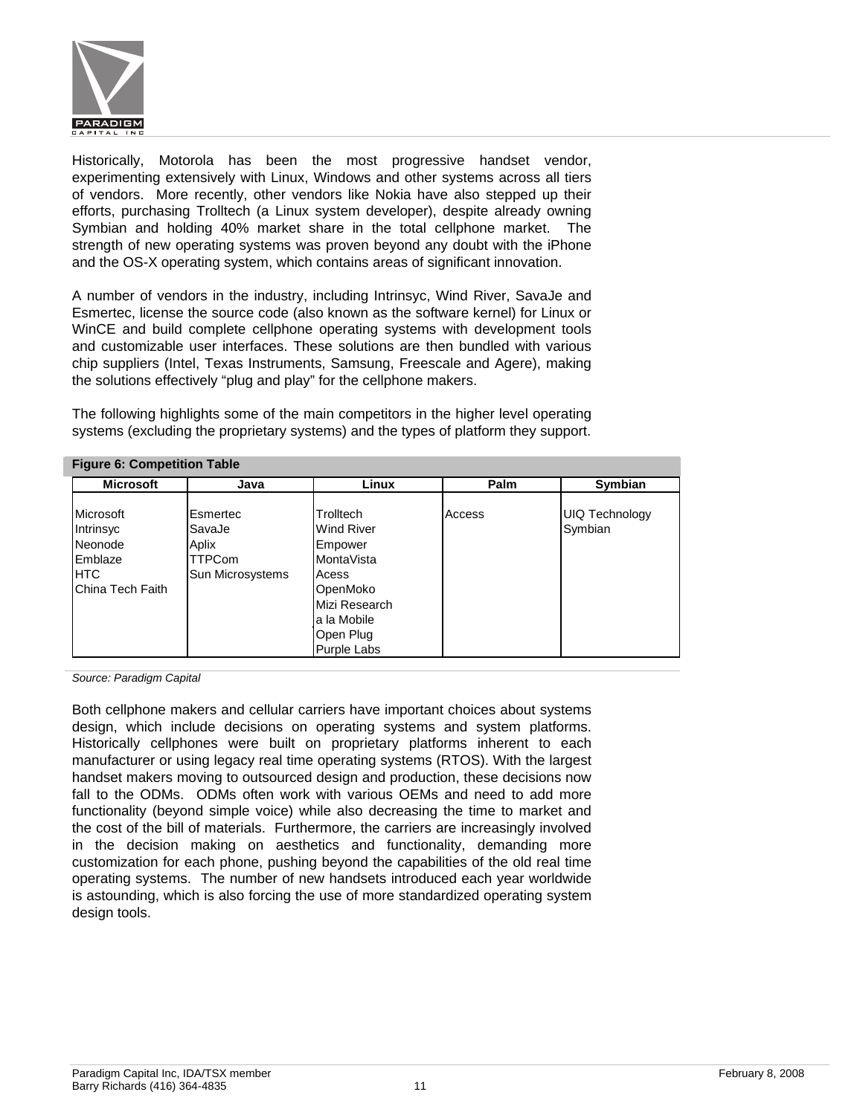

Historically, Motorola has been the most progressive handset vendor, experimenting extensively with Linux, Windows and other systems across all tiers of vendors. More recently, other vendors like Nokia have also stepped up their efforts, purchasing Trolltech (a Linux system developer), despite already owning Symbian and holding 40% market share in the total cellphone market. The strength of new operating systems was proven beyond any doubt with the iPhone and the OS-X operating system, which contains areas of significant innovation.

A number of vendors in the industry, including Intrinsyc, Wind River, SavaJe and Esmertec, license the source code (also known as the software kernel) for Linux or WinCE and build complete cellphone operating systems with development tools and customizable user interfaces. These solutions are then bundled with various chip suppliers (Intel, Texas Instruments, Samsung, Freescale and Agere), making the solutions effectively "plug and play" for the cellphone makers.

The following highlights some of the main competitors in the higher level operating systems (excluding the proprietary systems) and the types of platform they support.

| <b>Microsoft</b>                                                          | Java                                                      | Linux                                                                                                                                            | Palm   | Symbian                          |
|---------------------------------------------------------------------------|-----------------------------------------------------------|--------------------------------------------------------------------------------------------------------------------------------------------------|--------|----------------------------------|
| Microsoft<br>Intrinsyc<br>Neonode<br>Emblaze<br>IHTC.<br>China Tech Faith | Esmertec<br>SavaJe<br>Aplix<br>TTPCom<br>Sun Microsystems | Trolltech<br><b>Wind River</b><br>Empower<br>MontaVista<br>Acess<br>OpenMoko<br>Mizi Research<br>la la Mobile<br>Open Plug<br><b>Purple Labs</b> | Access | <b>UIQ Technology</b><br>Symbian |

*Source: Paradigm Capital* 

Both cellphone makers and cellular carriers have important choices about systems design, which include decisions on operating systems and system platforms. Historically cellphones were built on proprietary platforms inherent to each manufacturer or using legacy real time operating systems (RTOS). With the largest handset makers moving to outsourced design and production, these decisions now fall to the ODMs. ODMs often work with various OEMs and need to add more functionality (beyond simple voice) while also decreasing the time to market and the cost of the bill of materials. Furthermore, the carriers are increasingly involved in the decision making on aesthetics and functionality, demanding more customization for each phone, pushing beyond the capabilities of the old real time operating systems. The number of new handsets introduced each year worldwide is astounding, which is also forcing the use of more standardized operating system design tools.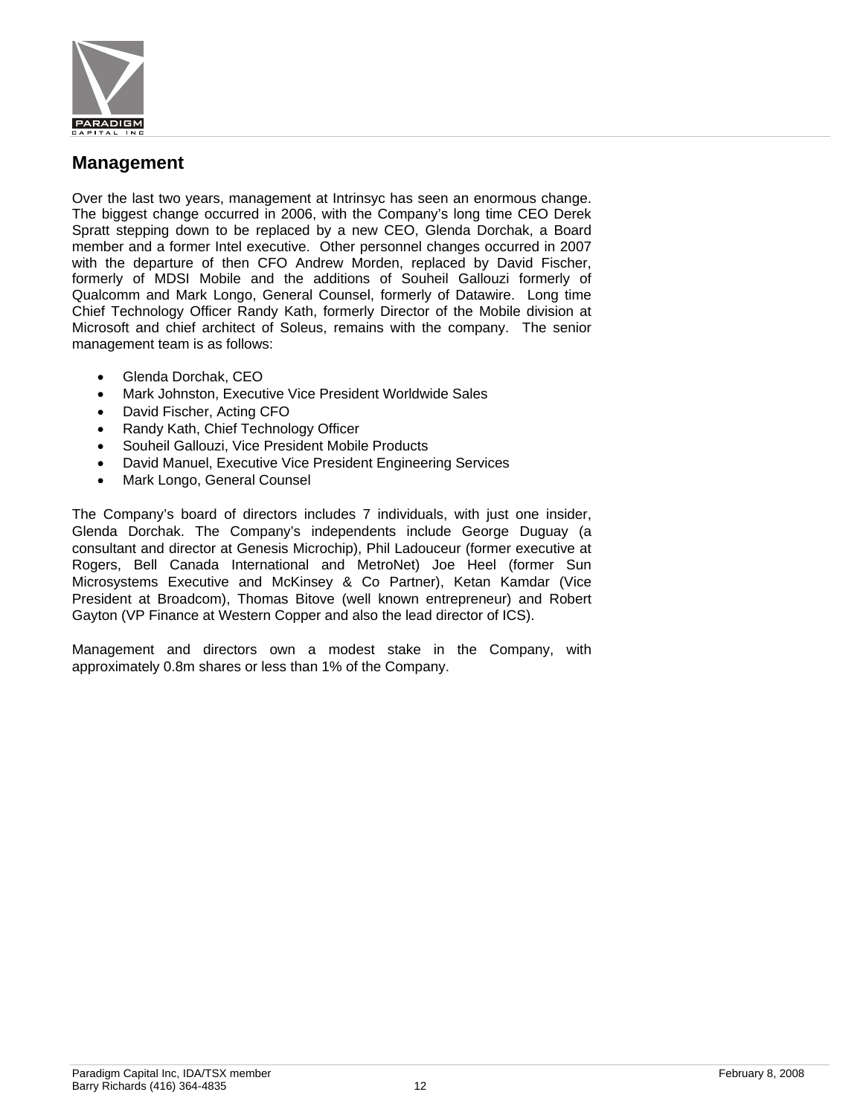

### **Management**

Over the last two years, management at Intrinsyc has seen an enormous change. The biggest change occurred in 2006, with the Company's long time CEO Derek Spratt stepping down to be replaced by a new CEO, Glenda Dorchak, a Board member and a former Intel executive. Other personnel changes occurred in 2007 with the departure of then CFO Andrew Morden, replaced by David Fischer, formerly of MDSI Mobile and the additions of Souheil Gallouzi formerly of Qualcomm and Mark Longo, General Counsel, formerly of Datawire. Long time Chief Technology Officer Randy Kath, formerly Director of the Mobile division at Microsoft and chief architect of Soleus, remains with the company. The senior management team is as follows:

- Glenda Dorchak, CEO
- Mark Johnston, Executive Vice President Worldwide Sales
- David Fischer, Acting CFO
- Randy Kath, Chief Technology Officer
- Souheil Gallouzi, Vice President Mobile Products
- David Manuel, Executive Vice President Engineering Services
- Mark Longo, General Counsel

The Company's board of directors includes 7 individuals, with just one insider, Glenda Dorchak. The Company's independents include George Duguay (a consultant and director at Genesis Microchip), Phil Ladouceur (former executive at Rogers, Bell Canada International and MetroNet) Joe Heel (former Sun Microsystems Executive and McKinsey & Co Partner), Ketan Kamdar (Vice President at Broadcom), Thomas Bitove (well known entrepreneur) and Robert Gayton (VP Finance at Western Copper and also the lead director of ICS).

Management and directors own a modest stake in the Company, with approximately 0.8m shares or less than 1% of the Company.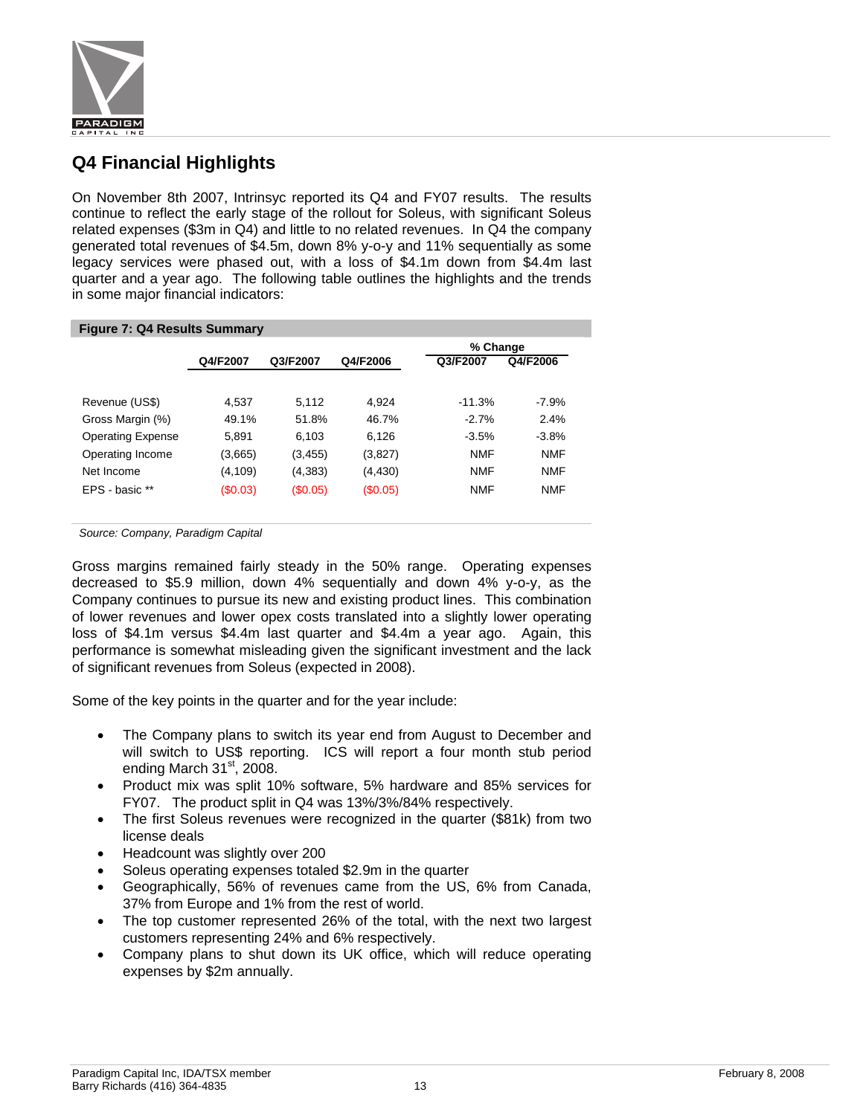

### **Q4 Financial Highlights**

On November 8th 2007, Intrinsyc reported its Q4 and FY07 results. The results continue to reflect the early stage of the rollout for Soleus, with significant Soleus related expenses (\$3m in Q4) and little to no related revenues. In Q4 the company generated total revenues of \$4.5m, down 8% y-o-y and 11% sequentially as some legacy services were phased out, with a loss of \$4.1m down from \$4.4m last quarter and a year ago. The following table outlines the highlights and the trends in some major financial indicators:

| <b>Figure 7: Q4 Results Summary</b> |          |          |          |            |            |  |
|-------------------------------------|----------|----------|----------|------------|------------|--|
|                                     |          |          | % Change |            |            |  |
|                                     | Q4/F2007 | Q3/F2007 | Q4/F2006 | Q3/F2007   | Q4/F2006   |  |
|                                     |          |          |          |            |            |  |
| Revenue (US\$)                      | 4.537    | 5.112    | 4.924    | $-11.3%$   | $-7.9%$    |  |
| Gross Margin (%)                    | 49.1%    | 51.8%    | 46.7%    | $-2.7%$    | 2.4%       |  |
| <b>Operating Expense</b>            | 5.891    | 6,103    | 6.126    | $-3.5%$    | $-3.8%$    |  |
| Operating Income                    | (3,665)  | (3,455)  | (3,827)  | <b>NMF</b> | <b>NMF</b> |  |
| Net Income                          | (4, 109) | (4,383)  | (4, 430) | <b>NMF</b> | <b>NMF</b> |  |
| EPS - basic **                      | (S0.03)  | (S0.05)  | (S0.05)  | <b>NMF</b> | <b>NMF</b> |  |

*Source: Company, Paradigm Capital* 

Gross margins remained fairly steady in the 50% range. Operating expenses decreased to \$5.9 million, down 4% sequentially and down 4% y-o-y, as the Company continues to pursue its new and existing product lines. This combination of lower revenues and lower opex costs translated into a slightly lower operating loss of \$4.1m versus \$4.4m last quarter and \$4.4m a year ago. Again, this performance is somewhat misleading given the significant investment and the lack of significant revenues from Soleus (expected in 2008).

Some of the key points in the quarter and for the year include:

- The Company plans to switch its year end from August to December and will switch to US\$ reporting. ICS will report a four month stub period ending March  $31<sup>st</sup>$ , 2008.
- Product mix was split 10% software, 5% hardware and 85% services for FY07. The product split in Q4 was 13%/3%/84% respectively.
- The first Soleus revenues were recognized in the quarter (\$81k) from two license deals
- Headcount was slightly over 200
- Soleus operating expenses totaled \$2.9m in the quarter
- Geographically, 56% of revenues came from the US, 6% from Canada, 37% from Europe and 1% from the rest of world.
- The top customer represented 26% of the total, with the next two largest customers representing 24% and 6% respectively.
- Company plans to shut down its UK office, which will reduce operating expenses by \$2m annually.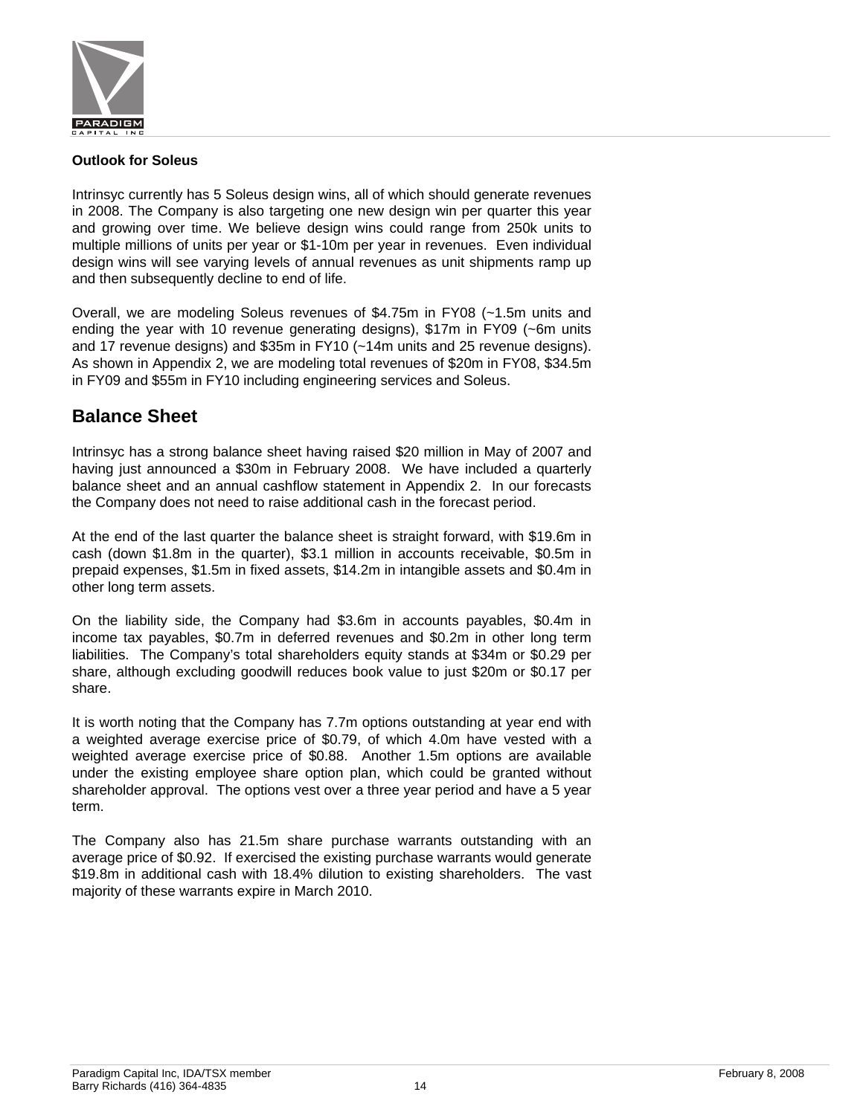

#### **Outlook for Soleus**

Intrinsyc currently has 5 Soleus design wins, all of which should generate revenues in 2008. The Company is also targeting one new design win per quarter this year and growing over time. We believe design wins could range from 250k units to multiple millions of units per year or \$1-10m per year in revenues. Even individual design wins will see varying levels of annual revenues as unit shipments ramp up and then subsequently decline to end of life.

Overall, we are modeling Soleus revenues of \$4.75m in FY08 (~1.5m units and ending the year with 10 revenue generating designs), \$17m in FY09 (~6m units and 17 revenue designs) and \$35m in FY10 (~14m units and 25 revenue designs). As shown in Appendix 2, we are modeling total revenues of \$20m in FY08, \$34.5m in FY09 and \$55m in FY10 including engineering services and Soleus.

### **Balance Sheet**

Intrinsyc has a strong balance sheet having raised \$20 million in May of 2007 and having just announced a \$30m in February 2008. We have included a quarterly balance sheet and an annual cashflow statement in Appendix 2. In our forecasts the Company does not need to raise additional cash in the forecast period.

At the end of the last quarter the balance sheet is straight forward, with \$19.6m in cash (down \$1.8m in the quarter), \$3.1 million in accounts receivable, \$0.5m in prepaid expenses, \$1.5m in fixed assets, \$14.2m in intangible assets and \$0.4m in other long term assets.

On the liability side, the Company had \$3.6m in accounts payables, \$0.4m in income tax payables, \$0.7m in deferred revenues and \$0.2m in other long term liabilities. The Company's total shareholders equity stands at \$34m or \$0.29 per share, although excluding goodwill reduces book value to just \$20m or \$0.17 per share.

It is worth noting that the Company has 7.7m options outstanding at year end with a weighted average exercise price of \$0.79, of which 4.0m have vested with a weighted average exercise price of \$0.88. Another 1.5m options are available under the existing employee share option plan, which could be granted without shareholder approval. The options vest over a three year period and have a 5 year term.

The Company also has 21.5m share purchase warrants outstanding with an average price of \$0.92. If exercised the existing purchase warrants would generate \$19.8m in additional cash with 18.4% dilution to existing shareholders. The vast majority of these warrants expire in March 2010.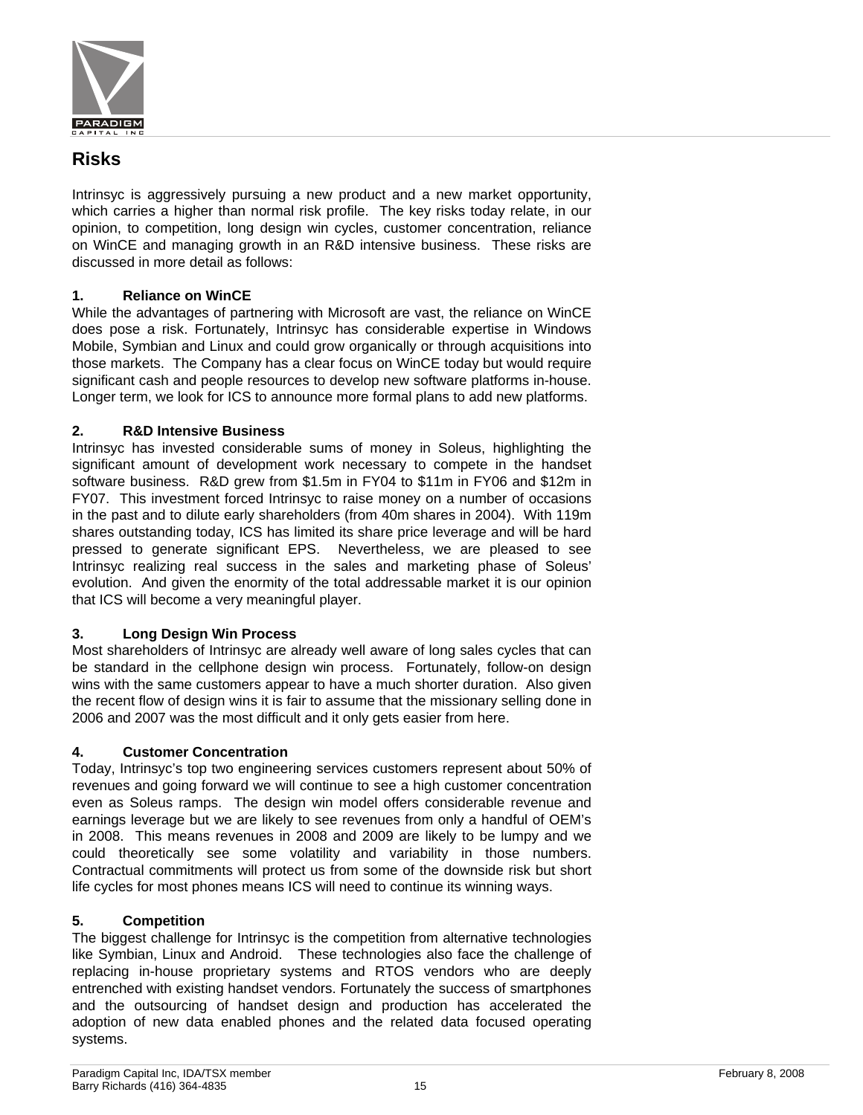

### **Risks**

Intrinsyc is aggressively pursuing a new product and a new market opportunity, which carries a higher than normal risk profile. The key risks today relate, in our opinion, to competition, long design win cycles, customer concentration, reliance on WinCE and managing growth in an R&D intensive business. These risks are discussed in more detail as follows:

### **1. Reliance on WinCE**

While the advantages of partnering with Microsoft are vast, the reliance on WinCE does pose a risk. Fortunately, Intrinsyc has considerable expertise in Windows Mobile, Symbian and Linux and could grow organically or through acquisitions into those markets. The Company has a clear focus on WinCE today but would require significant cash and people resources to develop new software platforms in-house. Longer term, we look for ICS to announce more formal plans to add new platforms.

### **2. R&D Intensive Business**

Intrinsyc has invested considerable sums of money in Soleus, highlighting the significant amount of development work necessary to compete in the handset software business. R&D grew from \$1.5m in FY04 to \$11m in FY06 and \$12m in FY07. This investment forced Intrinsyc to raise money on a number of occasions in the past and to dilute early shareholders (from 40m shares in 2004). With 119m shares outstanding today, ICS has limited its share price leverage and will be hard pressed to generate significant EPS. Nevertheless, we are pleased to see Intrinsyc realizing real success in the sales and marketing phase of Soleus' evolution. And given the enormity of the total addressable market it is our opinion that ICS will become a very meaningful player.

### **3. Long Design Win Process**

Most shareholders of Intrinsyc are already well aware of long sales cycles that can be standard in the cellphone design win process. Fortunately, follow-on design wins with the same customers appear to have a much shorter duration. Also given the recent flow of design wins it is fair to assume that the missionary selling done in 2006 and 2007 was the most difficult and it only gets easier from here.

### **4. Customer Concentration**

Today, Intrinsyc's top two engineering services customers represent about 50% of revenues and going forward we will continue to see a high customer concentration even as Soleus ramps. The design win model offers considerable revenue and earnings leverage but we are likely to see revenues from only a handful of OEM's in 2008. This means revenues in 2008 and 2009 are likely to be lumpy and we could theoretically see some volatility and variability in those numbers. Contractual commitments will protect us from some of the downside risk but short life cycles for most phones means ICS will need to continue its winning ways.

### **5. Competition**

The biggest challenge for Intrinsyc is the competition from alternative technologies like Symbian, Linux and Android. These technologies also face the challenge of replacing in-house proprietary systems and RTOS vendors who are deeply entrenched with existing handset vendors. Fortunately the success of smartphones and the outsourcing of handset design and production has accelerated the adoption of new data enabled phones and the related data focused operating systems.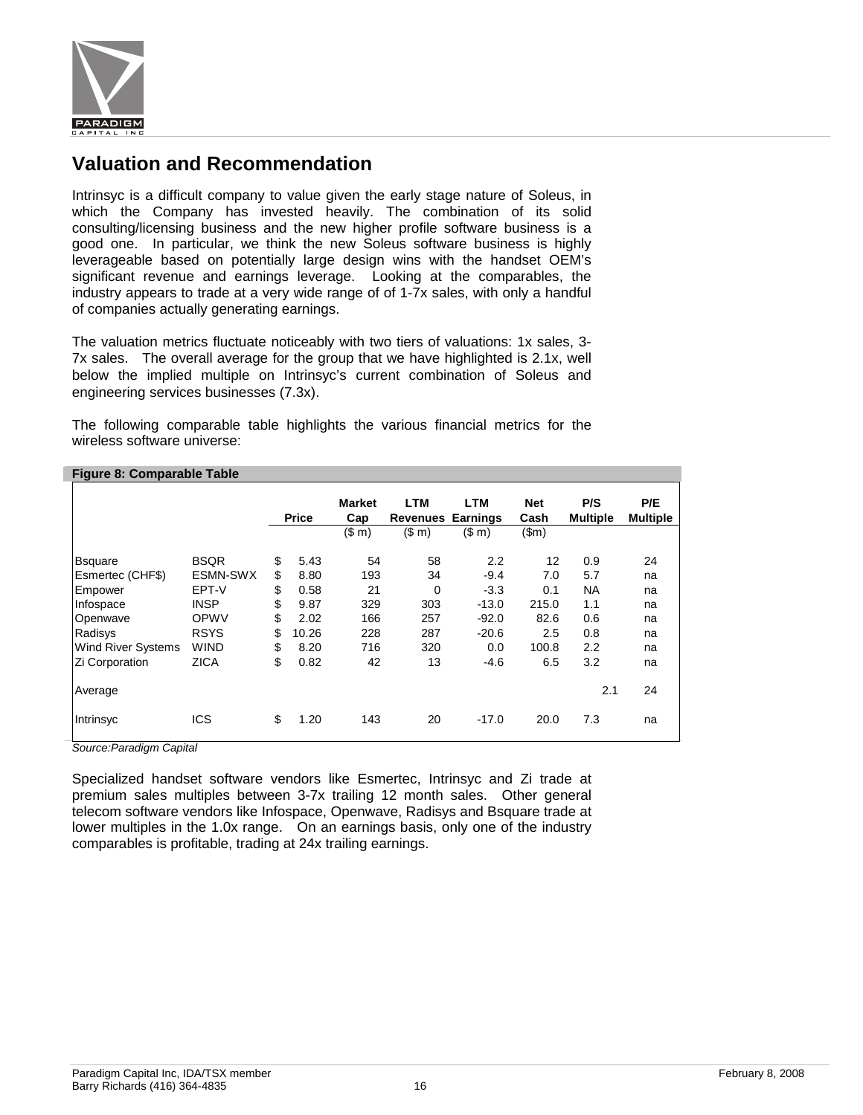

### **Valuation and Recommendation**

Intrinsyc is a difficult company to value given the early stage nature of Soleus, in which the Company has invested heavily. The combination of its solid consulting/licensing business and the new higher profile software business is a good one. In particular, we think the new Soleus software business is highly leverageable based on potentially large design wins with the handset OEM's significant revenue and earnings leverage. Looking at the comparables, the industry appears to trade at a very wide range of of 1-7x sales, with only a handful of companies actually generating earnings.

The valuation metrics fluctuate noticeably with two tiers of valuations: 1x sales, 3- 7x sales. The overall average for the group that we have highlighted is 2.1x, well below the implied multiple on Intrinsyc's current combination of Soleus and engineering services businesses (7.3x).

The following comparable table highlights the various financial metrics for the wireless software universe:

| <b>Figure 0. Comparable Table</b> |             |              |                      |                                 |            |                    |                        |                        |
|-----------------------------------|-------------|--------------|----------------------|---------------------------------|------------|--------------------|------------------------|------------------------|
|                                   |             | <b>Price</b> | <b>Market</b><br>Cap | LTM<br><b>Revenues Earnings</b> | <b>LTM</b> | <b>Net</b><br>Cash | P/S<br><b>Multiple</b> | P/E<br><b>Multiple</b> |
|                                   |             |              | (\$m)                | (\$m)                           | (\$m)      | \$m\$              |                        |                        |
|                                   |             |              |                      |                                 |            |                    |                        |                        |
| <b>Bsquare</b>                    | <b>BSQR</b> | \$<br>5.43   | 54                   | 58                              | 2.2        | 12                 | 0.9                    | 24                     |
| Esmertec (CHF\$)                  | ESMN-SWX    | \$<br>8.80   | 193                  | 34                              | $-9.4$     | 7.0                | 5.7                    | na                     |
| Empower                           | EPT-V       | \$<br>0.58   | 21                   | $\Omega$                        | $-3.3$     | 0.1                | <b>NA</b>              | na                     |
| Infospace                         | <b>INSP</b> | \$<br>9.87   | 329                  | 303                             | $-13.0$    | 215.0              | 1.1                    | na                     |
| Openwave                          | OPWV        | \$<br>2.02   | 166                  | 257                             | $-92.0$    | 82.6               | 0.6                    | na                     |
| Radisys                           | <b>RSYS</b> | \$<br>10.26  | 228                  | 287                             | $-20.6$    | 2.5                | 0.8                    | na                     |
| Wind River Systems                | <b>WIND</b> | \$<br>8.20   | 716                  | 320                             | 0.0        | 100.8              | 2.2                    | na                     |
| Zi Corporation                    | <b>ZICA</b> | \$<br>0.82   | 42                   | 13                              | -4.6       | 6.5                | 3.2                    | na                     |
| Average                           |             |              |                      |                                 |            |                    | 2.1                    | 24                     |
| Intrinsyc                         | <b>ICS</b>  | \$<br>1.20   | 143                  | 20                              | $-17.0$    | 20.0               | 7.3                    | na                     |

**Figure 8: Comparable Table** 

*Source:Paradigm Capital* 

Specialized handset software vendors like Esmertec, Intrinsyc and Zi trade at premium sales multiples between 3-7x trailing 12 month sales. Other general telecom software vendors like Infospace, Openwave, Radisys and Bsquare trade at lower multiples in the 1.0x range. On an earnings basis, only one of the industry comparables is profitable, trading at 24x trailing earnings.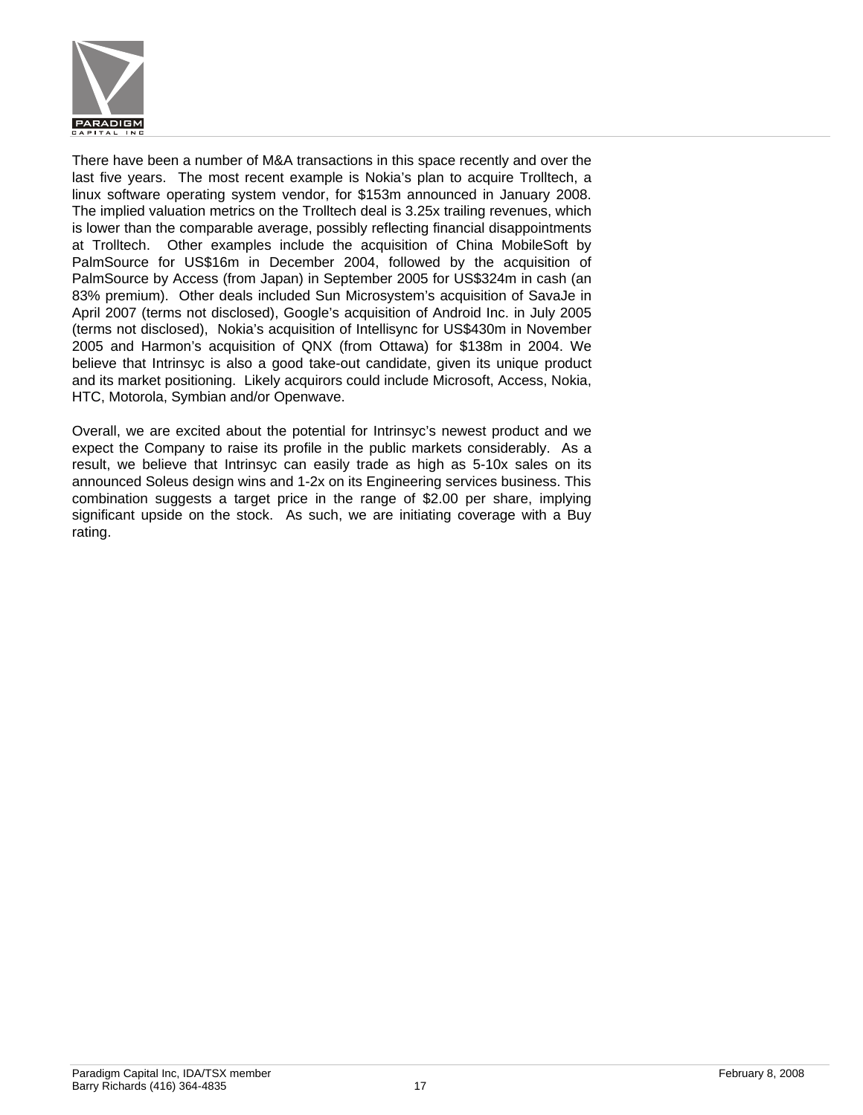

There have been a number of M&A transactions in this space recently and over the last five years. The most recent example is Nokia's plan to acquire Trolltech, a linux software operating system vendor, for \$153m announced in January 2008. The implied valuation metrics on the Trolltech deal is 3.25x trailing revenues, which is lower than the comparable average, possibly reflecting financial disappointments at Trolltech. Other examples include the acquisition of China MobileSoft by PalmSource for US\$16m in December 2004, followed by the acquisition of PalmSource by Access (from Japan) in September 2005 for US\$324m in cash (an 83% premium). Other deals included Sun Microsystem's acquisition of SavaJe in April 2007 (terms not disclosed), Google's acquisition of Android Inc. in July 2005 (terms not disclosed), Nokia's acquisition of Intellisync for US\$430m in November 2005 and Harmon's acquisition of QNX (from Ottawa) for \$138m in 2004. We believe that Intrinsyc is also a good take-out candidate, given its unique product and its market positioning. Likely acquirors could include Microsoft, Access, Nokia, HTC, Motorola, Symbian and/or Openwave.

Overall, we are excited about the potential for Intrinsyc's newest product and we expect the Company to raise its profile in the public markets considerably. As a result, we believe that Intrinsyc can easily trade as high as 5-10x sales on its announced Soleus design wins and 1-2x on its Engineering services business. This combination suggests a target price in the range of \$2.00 per share, implying significant upside on the stock. As such, we are initiating coverage with a Buy rating.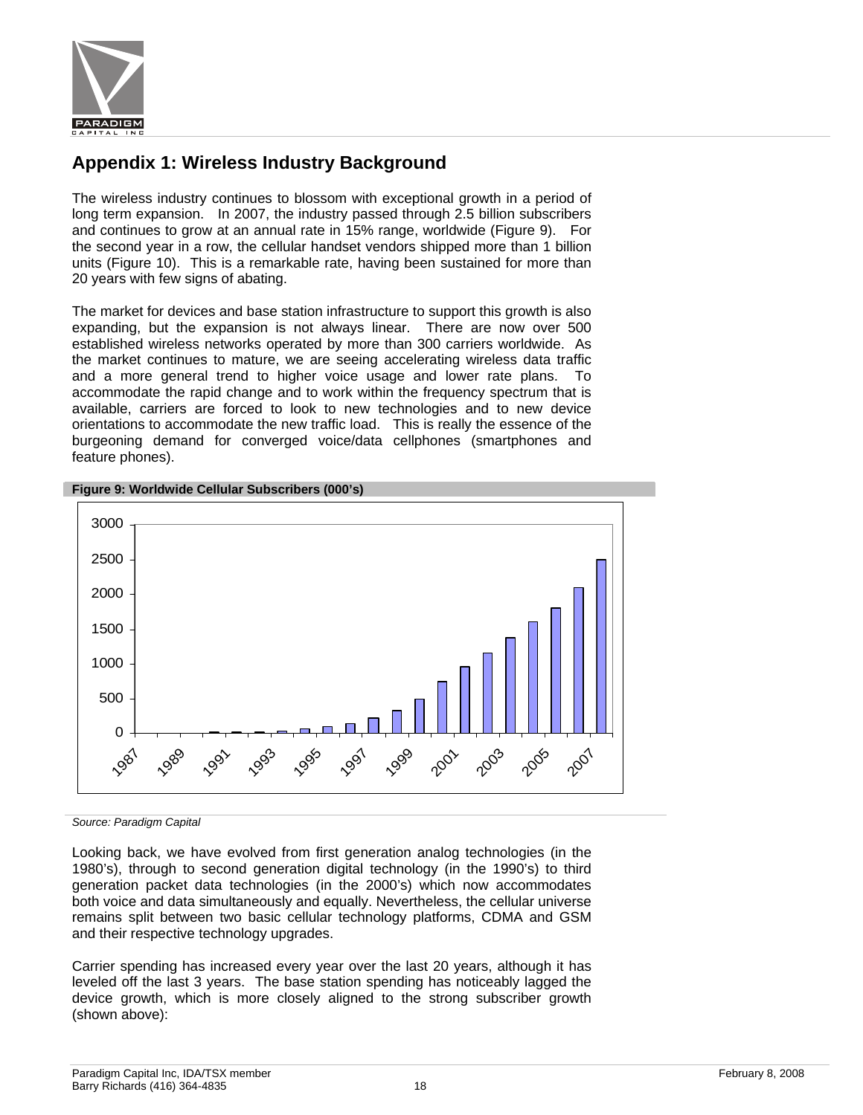

### **Appendix 1: Wireless Industry Background**

The wireless industry continues to blossom with exceptional growth in a period of long term expansion. In 2007, the industry passed through 2.5 billion subscribers and continues to grow at an annual rate in 15% range, worldwide (Figure 9). For the second year in a row, the cellular handset vendors shipped more than 1 billion units (Figure 10). This is a remarkable rate, having been sustained for more than 20 years with few signs of abating.

The market for devices and base station infrastructure to support this growth is also expanding, but the expansion is not always linear. There are now over 500 established wireless networks operated by more than 300 carriers worldwide. As the market continues to mature, we are seeing accelerating wireless data traffic and a more general trend to higher voice usage and lower rate plans. To accommodate the rapid change and to work within the frequency spectrum that is available, carriers are forced to look to new technologies and to new device orientations to accommodate the new traffic load. This is really the essence of the burgeoning demand for converged voice/data cellphones (smartphones and feature phones).



#### **Figure 9: Worldwide Cellular Subscribers (000's)**

*Source: Paradigm Capital* 

Looking back, we have evolved from first generation analog technologies (in the 1980's), through to second generation digital technology (in the 1990's) to third generation packet data technologies (in the 2000's) which now accommodates both voice and data simultaneously and equally. Nevertheless, the cellular universe remains split between two basic cellular technology platforms, CDMA and GSM and their respective technology upgrades.

Carrier spending has increased every year over the last 20 years, although it has leveled off the last 3 years. The base station spending has noticeably lagged the device growth, which is more closely aligned to the strong subscriber growth (shown above):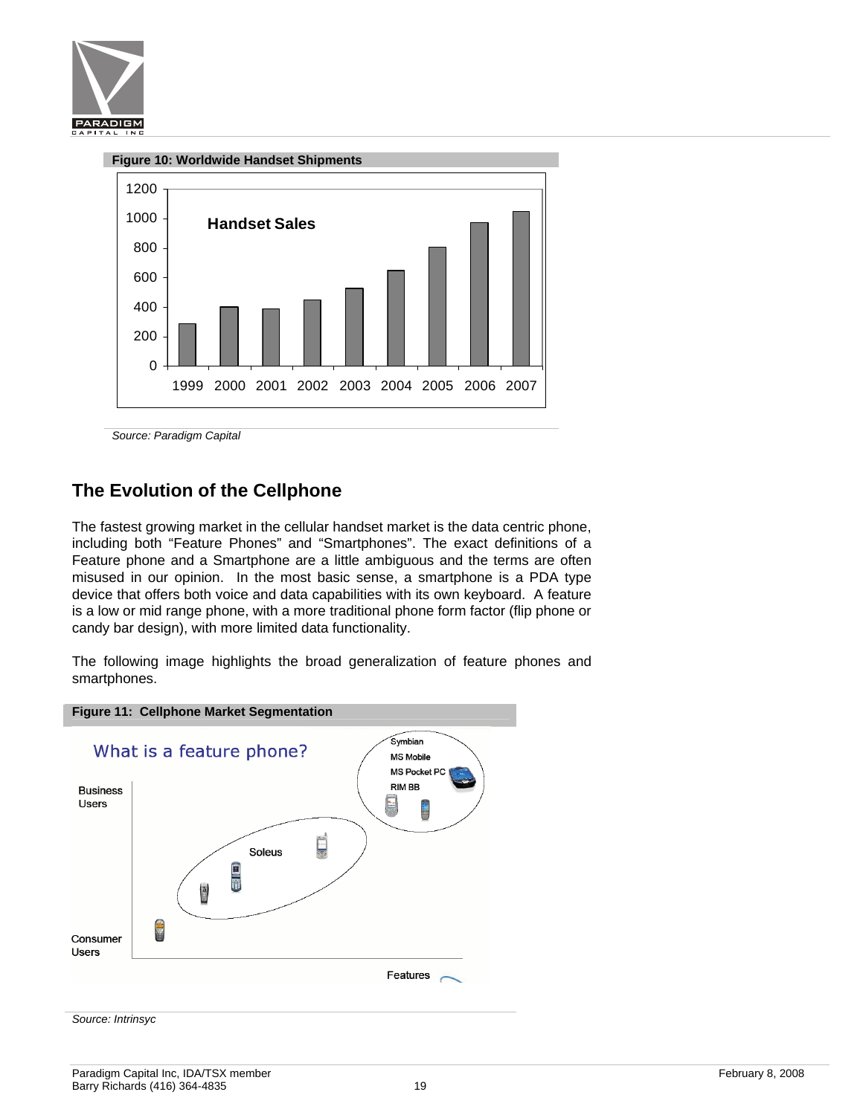



*Source: Paradigm Capital* 

### **The Evolution of the Cellphone**

The fastest growing market in the cellular handset market is the data centric phone, including both "Feature Phones" and "Smartphones". The exact definitions of a Feature phone and a Smartphone are a little ambiguous and the terms are often misused in our opinion. In the most basic sense, a smartphone is a PDA type device that offers both voice and data capabilities with its own keyboard. A feature is a low or mid range phone, with a more traditional phone form factor (flip phone or candy bar design), with more limited data functionality.

The following image highlights the broad generalization of feature phones and smartphones.

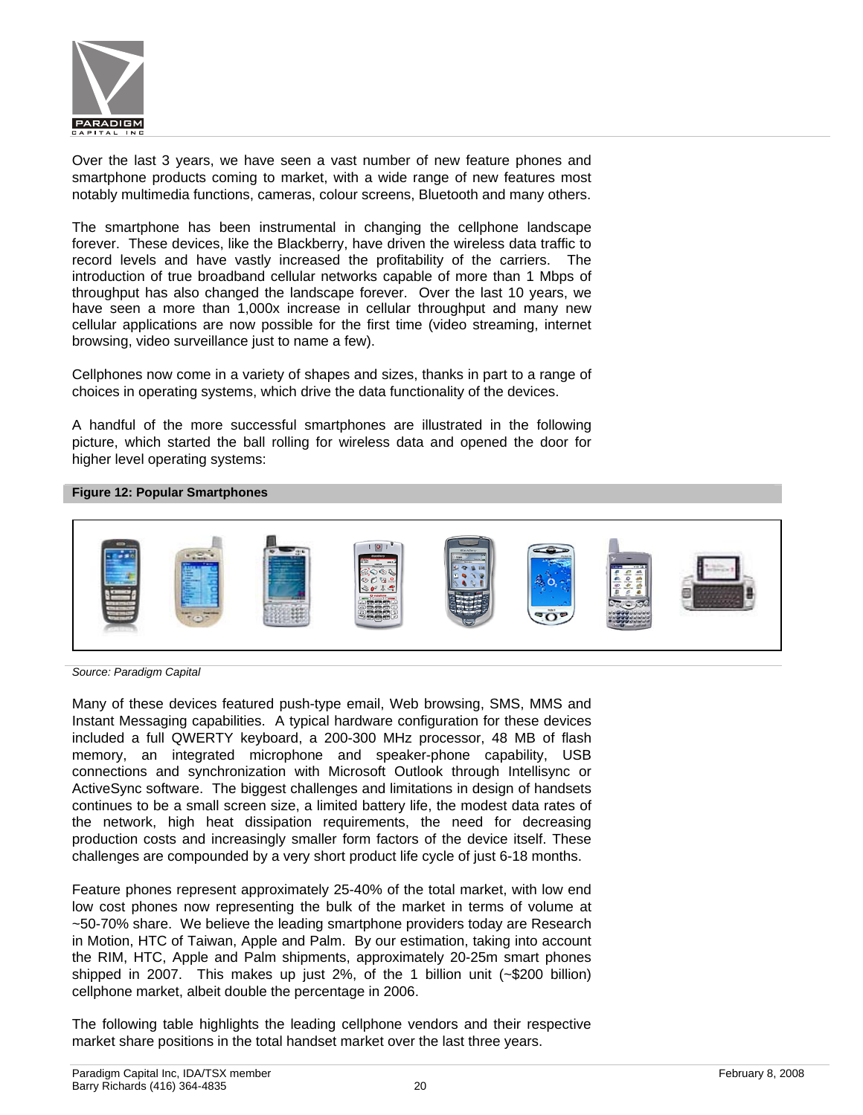

Over the last 3 years, we have seen a vast number of new feature phones and smartphone products coming to market, with a wide range of new features most notably multimedia functions, cameras, colour screens, Bluetooth and many others.

The smartphone has been instrumental in changing the cellphone landscape forever. These devices, like the Blackberry, have driven the wireless data traffic to record levels and have vastly increased the profitability of the carriers. The introduction of true broadband cellular networks capable of more than 1 Mbps of throughput has also changed the landscape forever. Over the last 10 years, we have seen a more than 1,000x increase in cellular throughput and many new cellular applications are now possible for the first time (video streaming, internet browsing, video surveillance just to name a few).

Cellphones now come in a variety of shapes and sizes, thanks in part to a range of choices in operating systems, which drive the data functionality of the devices.

A handful of the more successful smartphones are illustrated in the following picture, which started the ball rolling for wireless data and opened the door for higher level operating systems:

#### **Figure 12: Popular Smartphones**



*Source: Paradigm Capital* 

Many of these devices featured push-type email, Web browsing, SMS, MMS and Instant Messaging capabilities. A typical hardware configuration for these devices included a full QWERTY keyboard, a 200-300 MHz processor, 48 MB of flash memory, an integrated microphone and speaker-phone capability, USB connections and synchronization with Microsoft Outlook through Intellisync or ActiveSync software. The biggest challenges and limitations in design of handsets continues to be a small screen size, a limited battery life, the modest data rates of the network, high heat dissipation requirements, the need for decreasing production costs and increasingly smaller form factors of the device itself. These challenges are compounded by a very short product life cycle of just 6-18 months.

Feature phones represent approximately 25-40% of the total market, with low end low cost phones now representing the bulk of the market in terms of volume at ~50-70% share. We believe the leading smartphone providers today are Research in Motion, HTC of Taiwan, Apple and Palm. By our estimation, taking into account the RIM, HTC, Apple and Palm shipments, approximately 20-25m smart phones shipped in 2007. This makes up just 2%, of the 1 billion unit (~\$200 billion) cellphone market, albeit double the percentage in 2006.

The following table highlights the leading cellphone vendors and their respective market share positions in the total handset market over the last three years.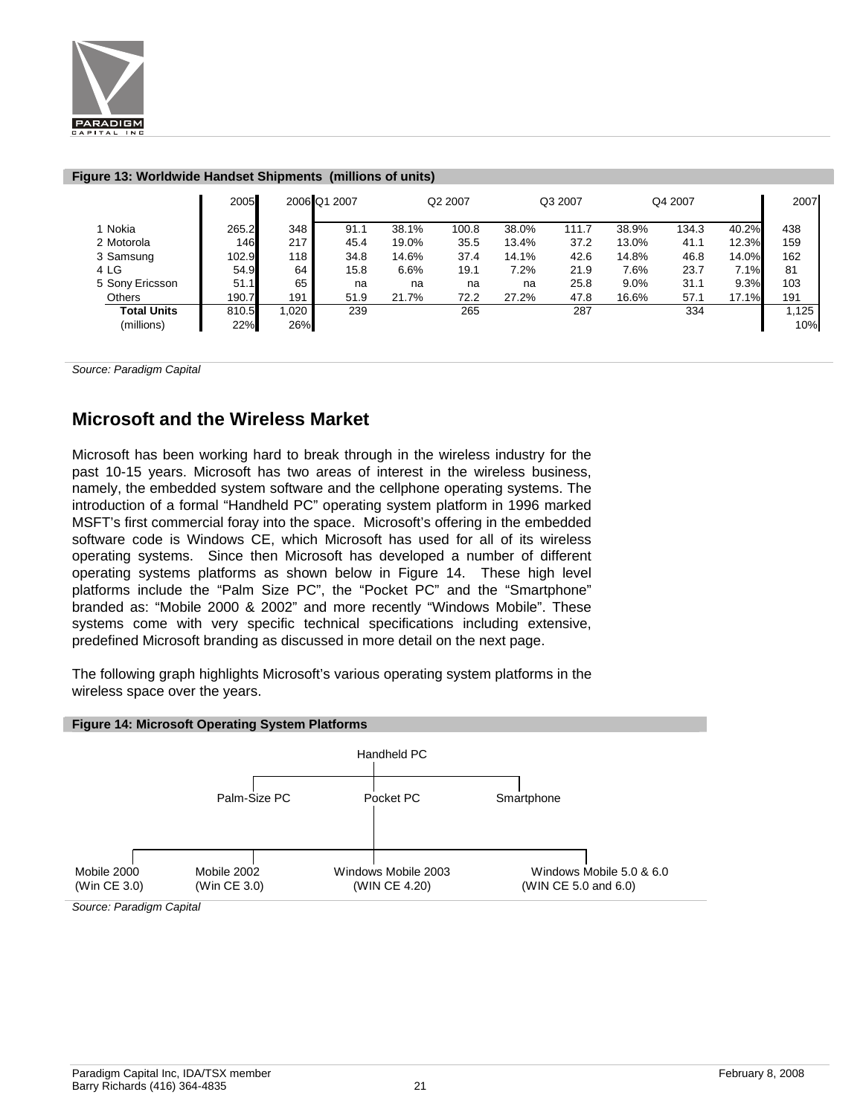

|                    | 2005  | 2006 Q1 2007 |      |       | Q2 2007 |       | Q3 2007 |       | Q4 2007 |       | 2007  |
|--------------------|-------|--------------|------|-------|---------|-------|---------|-------|---------|-------|-------|
| 1 Nokia            | 265.2 | 348          | 91.1 | 38.1% | 100.8   | 38.0% | 111.7   | 38.9% | 134.3   | 40.2% | 438   |
| 2 Motorola         | 146   | 217 l        | 45.4 | 19.0% | 35.5    | 13.4% | 37.2    | 13.0% | 41.1    | 12.3% | 159   |
| 3 Samsung          | 102.9 | 118          | 34.8 | 14.6% | 37.4    | 14.1% | 42.6    | 14.8% | 46.8    | 14.0% | 162   |
| 4 LG               | 54.9  | 64           | 15.8 | 6.6%  | 19.1    | 7.2%  | 21.9    | 7.6%  | 23.7    | 7.1%  | 81    |
| 5 Sony Ericsson    | 51.1  | 65           | na   | na    | na      | na    | 25.8    | 9.0%  | 31.1    | 9.3%  | 103   |
| Others             | 190.7 | 191          | 51.9 | 21.7% | 72.2    | 27.2% | 47.8    | 16.6% | 57.1    | 17.1% | 191   |
| <b>Total Units</b> | 810.5 | 1.020        | 239  |       | 265     |       | 287     |       | 334     |       | 1,125 |
| (millions)         | 22%   | 26%          |      |       |         |       |         |       |         |       | 10%   |

#### **Figure 13: Worldwide Handset Shipments (millions of units)**

*Source: Paradigm Capital* 

### **Microsoft and the Wireless Market**

Microsoft has been working hard to break through in the wireless industry for the past 10-15 years. Microsoft has two areas of interest in the wireless business, namely, the embedded system software and the cellphone operating systems. The introduction of a formal "Handheld PC" operating system platform in 1996 marked MSFT's first commercial foray into the space. Microsoft's offering in the embedded software code is Windows CE, which Microsoft has used for all of its wireless operating systems. Since then Microsoft has developed a number of different operating systems platforms as shown below in Figure 14. These high level platforms include the "Palm Size PC", the "Pocket PC" and the "Smartphone" branded as: "Mobile 2000 & 2002" and more recently "Windows Mobile". These systems come with very specific technical specifications including extensive, predefined Microsoft branding as discussed in more detail on the next page.

The following graph highlights Microsoft's various operating system platforms in the wireless space over the years.



*Source: Paradigm Capital*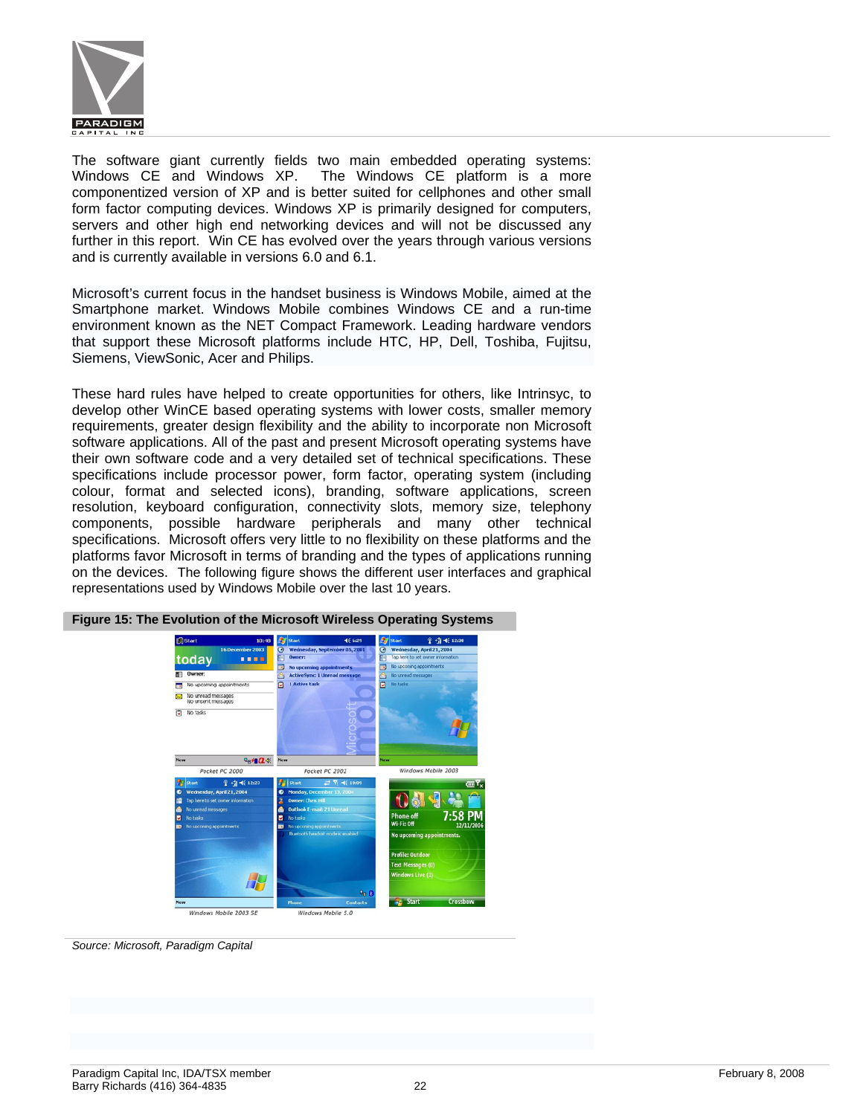

The software giant currently fields two main embedded operating systems: Windows CE and Windows XP. The Windows CE platform is a more componentized version of XP and is better suited for cellphones and other small form factor computing devices. Windows XP is primarily designed for computers, servers and other high end networking devices and will not be discussed any further in this report. Win CE has evolved over the years through various versions and is currently available in versions 6.0 and 6.1.

Microsoft's current focus in the handset business is Windows Mobile, aimed at the Smartphone market. Windows Mobile combines Windows CE and a run-time environment known as the NET Compact Framework. Leading hardware vendors that support these Microsoft platforms include HTC, HP, Dell, Toshiba, Fujitsu, Siemens, ViewSonic, Acer and Philips.

These hard rules have helped to create opportunities for others, like Intrinsyc, to develop other WinCE based operating systems with lower costs, smaller memory requirements, greater design flexibility and the ability to incorporate non Microsoft software applications. All of the past and present Microsoft operating systems have their own software code and a very detailed set of technical specifications. These specifications include processor power, form factor, operating system (including colour, format and selected icons), branding, software applications, screen resolution, keyboard configuration, connectivity slots, memory size, telephony components, possible hardware peripherals and many other technical specifications. Microsoft offers very little to no flexibility on these platforms and the platforms favor Microsoft in terms of branding and the types of applications running on the devices. The following figure shows the different user interfaces and graphical representations used by Windows Mobile over the last 10 years.



**Figure 15: The Evolution of the Microsoft Wireless Operating Systems** 

*Source: Microsoft, Paradigm Capital*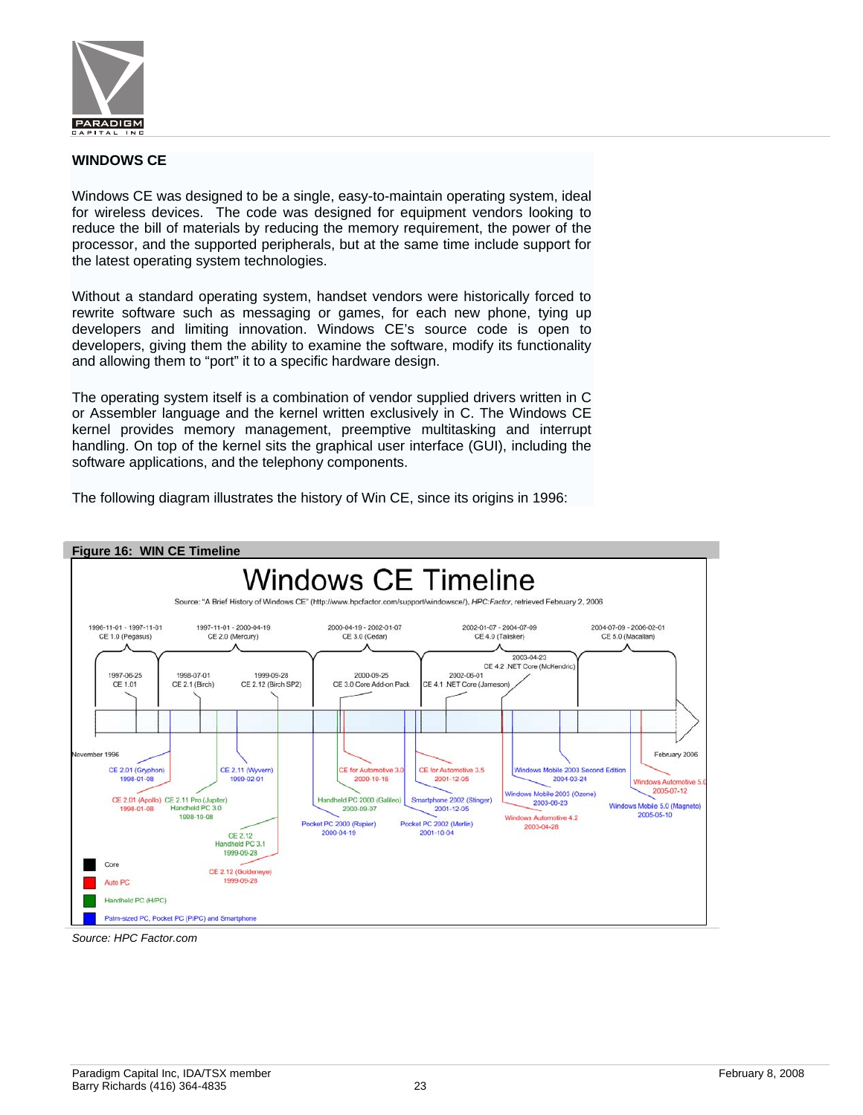

#### **WINDOWS CE**

Windows CE was designed to be a single, easy-to-maintain operating system, ideal for wireless devices. The code was designed for equipment vendors looking to reduce the bill of materials by reducing the memory requirement, the power of the processor, and the supported peripherals, but at the same time include support for the latest operating system technologies.

Without a standard operating system, handset vendors were historically forced to rewrite software such as messaging or games, for each new phone, tying up developers and limiting innovation. Windows CE's source code is open to developers, giving them the ability to examine the software, modify its functionality and allowing them to "port" it to a specific hardware design.

The operating system itself is a combination of vendor supplied drivers written in C or Assembler language and the kernel written exclusively in C. The Windows CE kernel provides memory management, preemptive multitasking and interrupt handling. On top of the kernel sits the graphical user interface (GUI), including the software applications, and the telephony components.



The following diagram illustrates the history of Win CE, since its origins in 1996:

*Source: HPC Factor.com*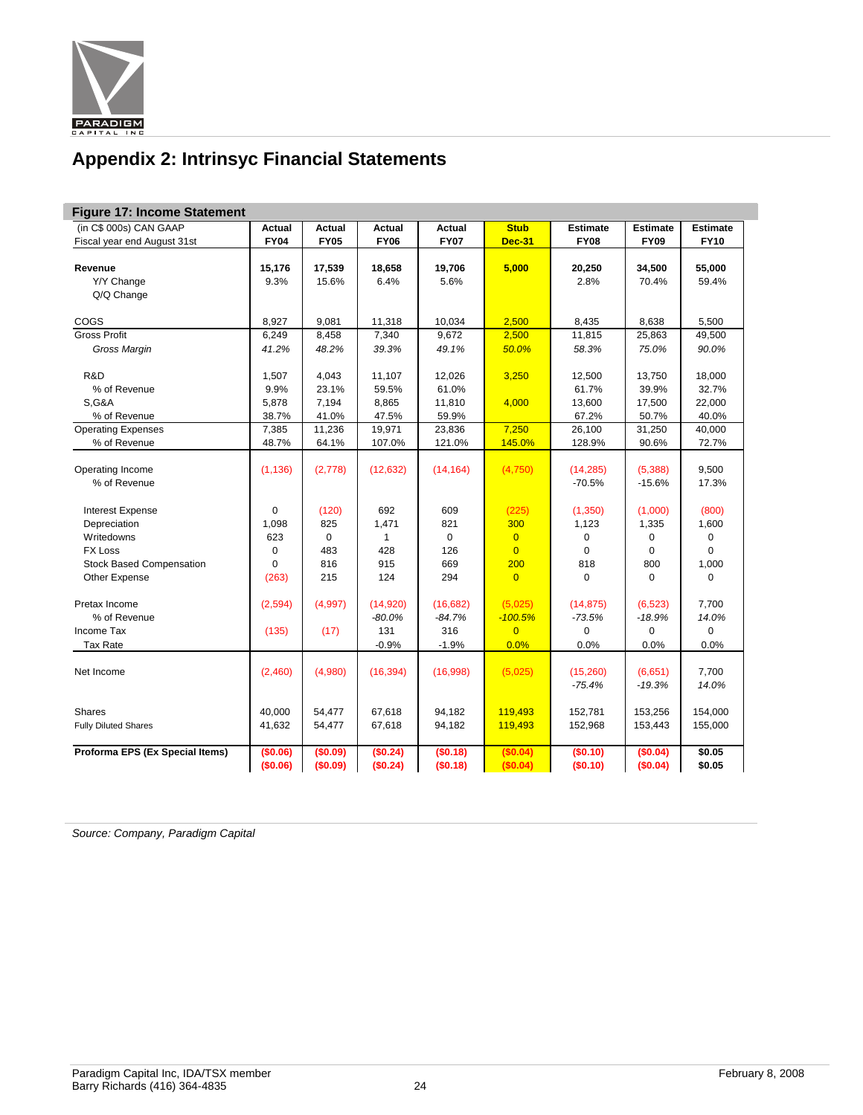

# **Appendix 2: Intrinsyc Financial Statements**

| <b>Figure 17: Income Statement</b> |               |               |               |               |                |                 |                 |                 |  |  |  |
|------------------------------------|---------------|---------------|---------------|---------------|----------------|-----------------|-----------------|-----------------|--|--|--|
| (in C\$ 000s) CAN GAAP             | <b>Actual</b> | <b>Actual</b> | <b>Actual</b> | <b>Actual</b> | <b>Stub</b>    | <b>Estimate</b> | <b>Estimate</b> | <b>Estimate</b> |  |  |  |
| Fiscal year end August 31st        | <b>FY04</b>   | <b>FY05</b>   | <b>FY06</b>   | <b>FY07</b>   | <b>Dec-31</b>  | <b>FY08</b>     | <b>FY09</b>     | <b>FY10</b>     |  |  |  |
|                                    |               |               |               |               |                |                 |                 |                 |  |  |  |
| Revenue                            | 15,176        | 17,539        | 18,658        | 19,706        | 5,000          | 20,250          | 34,500          | 55,000          |  |  |  |
| Y/Y Change                         | 9.3%          | 15.6%         | 6.4%          | 5.6%          |                | 2.8%            | 70.4%           | 59.4%           |  |  |  |
| Q/Q Change                         |               |               |               |               |                |                 |                 |                 |  |  |  |
|                                    |               |               |               |               |                |                 |                 |                 |  |  |  |
| COGS                               | 8,927         | 9,081         | 11,318        | 10.034        | 2,500          | 8,435           | 8,638           | 5,500           |  |  |  |
| <b>Gross Profit</b>                | 6,249         | 8,458         | 7,340         | 9,672         | 2,500          | 11,815          | 25,863          | 49,500          |  |  |  |
| Gross Margin                       | 41.2%         | 48.2%         | 39.3%         | 49.1%         | 50.0%          | 58.3%           | 75.0%           | 90.0%           |  |  |  |
| R&D                                | 1,507         | 4,043         | 11,107        | 12,026        | 3,250          | 12,500          | 13,750          | 18,000          |  |  |  |
| % of Revenue                       | 9.9%          | 23.1%         | 59.5%         | 61.0%         |                | 61.7%           | 39.9%           | 32.7%           |  |  |  |
| <b>S,G&amp;A</b>                   | 5,878         | 7,194         | 8,865         | 11,810        | 4,000          | 13,600          | 17,500          | 22,000          |  |  |  |
| % of Revenue                       | 38.7%         | 41.0%         | 47.5%         | 59.9%         |                | 67.2%           | 50.7%           | 40.0%           |  |  |  |
| <b>Operating Expenses</b>          | 7,385         | 11,236        | 19,971        | 23,836        | 7,250          | 26,100          | 31,250          | 40,000          |  |  |  |
|                                    | 48.7%         |               |               |               |                |                 |                 |                 |  |  |  |
| % of Revenue                       |               | 64.1%         | 107.0%        | 121.0%        | 145.0%         | 128.9%          | 90.6%           | 72.7%           |  |  |  |
| Operating Income                   | (1, 136)      | (2,778)       | (12, 632)     | (14, 164)     | (4,750)        | (14, 285)       | (5,388)         | 9,500           |  |  |  |
| % of Revenue                       |               |               |               |               |                | $-70.5%$        | $-15.6%$        | 17.3%           |  |  |  |
|                                    |               |               |               |               |                |                 |                 |                 |  |  |  |
| <b>Interest Expense</b>            | $\Omega$      | (120)         | 692           | 609           | (225)          | (1,350)         | (1,000)         | (800)           |  |  |  |
| Depreciation                       | 1,098         | 825           | 1,471         | 821           | 300            | 1,123           | 1,335           | 1,600           |  |  |  |
| Writedowns                         | 623           | $\mathbf 0$   | $\mathbf{1}$  | $\Omega$      | $\overline{0}$ | $\mathbf 0$     | $\mathbf 0$     | $\mathbf 0$     |  |  |  |
| <b>FX Loss</b>                     | $\mathbf 0$   | 483           | 428           | 126           | $\overline{0}$ | $\mathbf 0$     | $\mathbf 0$     | $\mathbf 0$     |  |  |  |
| <b>Stock Based Compensation</b>    | $\Omega$      | 816           | 915           | 669           | 200            | 818             | 800             | 1,000           |  |  |  |
| Other Expense                      | (263)         | 215           | 124           | 294           | $\overline{0}$ | $\mathbf 0$     | $\mathbf 0$     | $\mathbf 0$     |  |  |  |
|                                    |               |               |               |               |                |                 |                 |                 |  |  |  |
| Pretax Income                      | (2,594)       | (4,997)       | (14,920)      | (16,682)      | (5,025)        | (14, 875)       | (6, 523)        | 7,700           |  |  |  |
| % of Revenue                       |               |               | $-80.0%$      | $-84.7%$      | $-100.5%$      | $-73.5%$        | $-18.9%$        | 14.0%           |  |  |  |
| Income Tax                         | (135)         | (17)          | 131           | 316           | $\overline{0}$ | 0               | 0               | $\mathbf 0$     |  |  |  |
| Tax Rate                           |               |               | $-0.9%$       | $-1.9%$       | 0.0%           | 0.0%            | 0.0%            | 0.0%            |  |  |  |
|                                    |               |               |               |               |                |                 |                 |                 |  |  |  |
| Net Income                         | (2,460)       | (4,980)       | (16, 394)     | (16,998)      | (5,025)        | (15,260)        | (6,651)         | 7,700           |  |  |  |
|                                    |               |               |               |               |                | $-75.4%$        | $-19.3%$        | 14.0%           |  |  |  |
|                                    |               |               |               |               |                |                 |                 |                 |  |  |  |
| <b>Shares</b>                      | 40,000        | 54,477        | 67,618        | 94,182        | 119,493        | 152,781         | 153,256         | 154,000         |  |  |  |
| <b>Fully Diluted Shares</b>        | 41,632        | 54,477        | 67,618        | 94,182        | 119,493        | 152,968         | 153,443         | 155,000         |  |  |  |
|                                    |               |               |               |               |                |                 |                 |                 |  |  |  |
| Proforma EPS (Ex Special Items)    | (\$0.06)      | (\$0.09)      | (\$0.24)      | (\$0.18)      | (\$0.04)       | (S0.10)         | (\$0.04)        | \$0.05          |  |  |  |
|                                    | (\$0.06)      | (\$0.09)      | (\$0.24)      | (S0.18)       | (\$0.04)       | (S0.10)         | (\$0.04)        | \$0.05          |  |  |  |

*Source: Company, Paradigm Capital*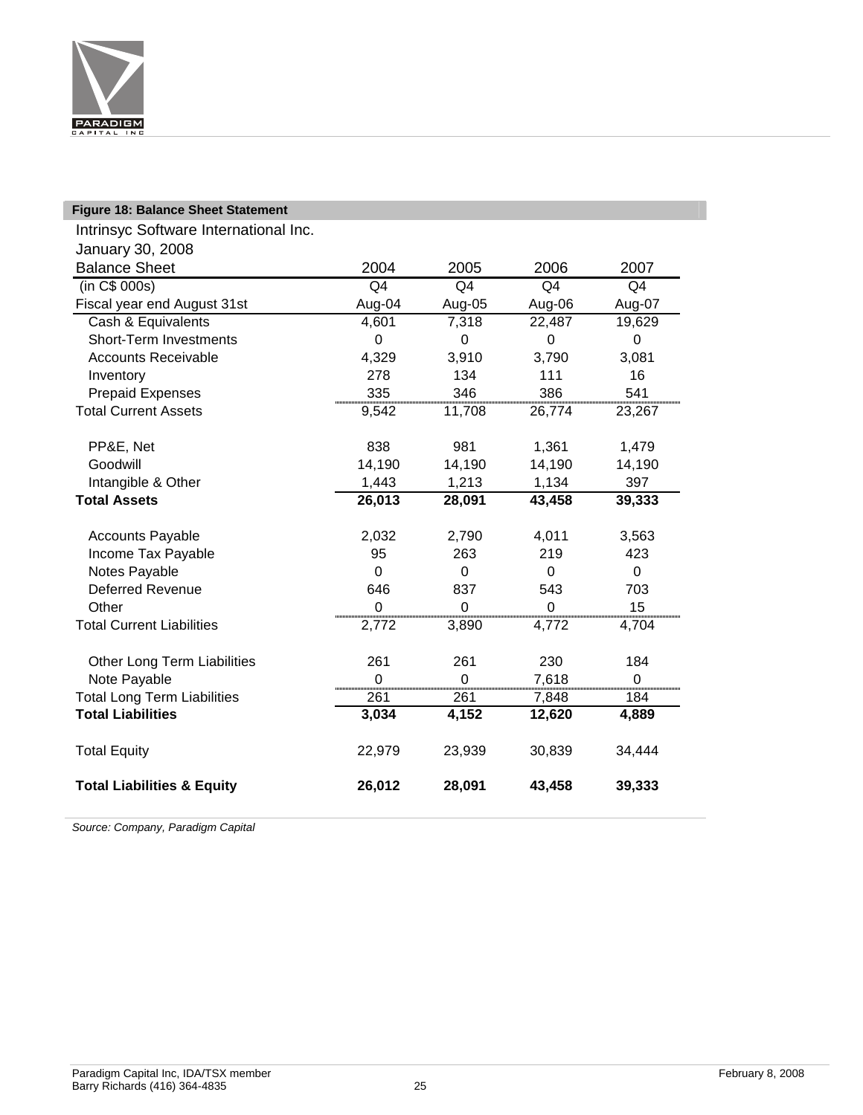

| <b>Figure 18: Balance Sheet Statement</b> |                |             |          |          |
|-------------------------------------------|----------------|-------------|----------|----------|
| Intrinsyc Software International Inc.     |                |             |          |          |
| January 30, 2008                          |                |             |          |          |
| <b>Balance Sheet</b>                      | 2004           | 2005        | 2006     | 2007     |
| (in C\$ 000s)                             | Q4             | Q4          | Q4       | Q4       |
| Fiscal year end August 31st               | Aug-04         | Aug-05      | Aug-06   | Aug-07   |
| Cash & Equivalents                        | 4,601          | 7,318       | 22,487   | 19,629   |
| <b>Short-Term Investments</b>             | $\Omega$       | $\Omega$    | $\Omega$ | $\Omega$ |
| <b>Accounts Receivable</b>                | 4,329          | 3,910       | 3,790    | 3,081    |
| Inventory                                 | 278            | 134         | 111      | 16       |
| <b>Prepaid Expenses</b>                   | 335            | 346         | 386      | 541      |
| <b>Total Current Assets</b>               | 9,542          | 11,708      | 26,774   | 23,267   |
|                                           |                |             |          |          |
| PP&E, Net                                 | 838            | 981         | 1,361    | 1,479    |
| Goodwill                                  | 14,190         | 14,190      | 14,190   | 14,190   |
| Intangible & Other                        | 1,443          | 1,213       | 1,134    | 397      |
| <b>Total Assets</b>                       | 26,013         | 28,091      | 43,458   | 39,333   |
|                                           | 2,032          | 2,790       | 4,011    |          |
| <b>Accounts Payable</b>                   |                | 263         | 219      | 3,563    |
| Income Tax Payable                        | 95<br>$\Omega$ | $\mathbf 0$ |          | 423      |
| Notes Payable<br><b>Deferred Revenue</b>  | 646            | 837         | 0<br>543 | 0<br>703 |
| Other                                     | $\Omega$       | $\Omega$    | $\Omega$ | 15       |
| <b>Total Current Liabilities</b>          | 2,772          | 3,890       | 4,772    | 4,704    |
|                                           |                |             |          |          |
| Other Long Term Liabilities               | 261            | 261         | 230      | 184      |
| Note Payable                              | $\Omega$       | $\Omega$    | 7,618    | 0        |
| <b>Total Long Term Liabilities</b>        | 261            | 261         | 7,848    | 184      |
| <b>Total Liabilities</b>                  | 3,034          | 4,152       | 12,620   | 4,889    |
| <b>Total Equity</b>                       | 22,979         | 23,939      | 30,839   | 34,444   |
| <b>Total Liabilities &amp; Equity</b>     | 26,012         | 28,091      | 43,458   | 39,333   |

*Source: Company, Paradigm Capital*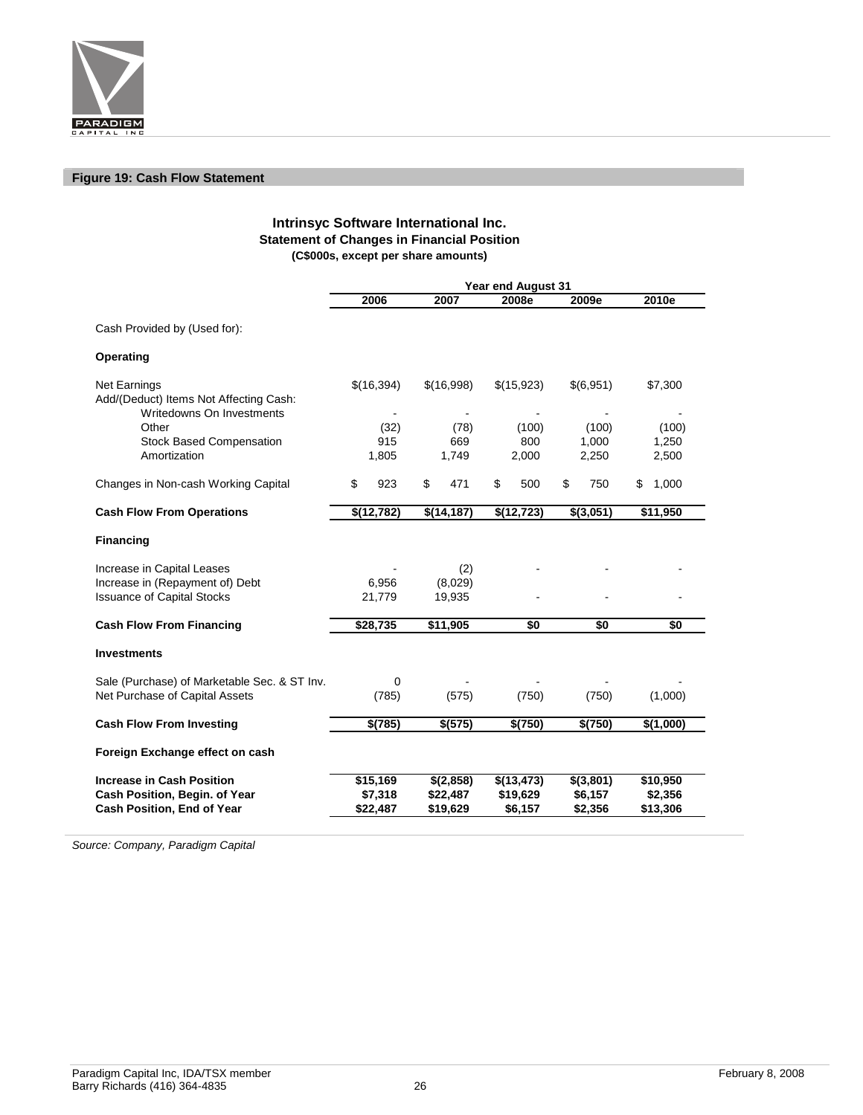

#### **Figure 19: Cash Flow Statement**

#### **Intrinsyc Software International Inc. Statement of Changes in Financial Position (C\$000s, except per share amounts)**

|                                                                                     | <b>Year end August 31</b> |            |            |             |                 |            |           |           |    |           |
|-------------------------------------------------------------------------------------|---------------------------|------------|------------|-------------|-----------------|------------|-----------|-----------|----|-----------|
|                                                                                     |                           | 2006       |            | 2007        |                 | 2008e      |           | 2009e     |    | 2010e     |
| Cash Provided by (Used for):                                                        |                           |            |            |             |                 |            |           |           |    |           |
| Operating                                                                           |                           |            |            |             |                 |            |           |           |    |           |
| Net Earnings<br>Add/(Deduct) Items Not Affecting Cash:<br>Writedowns On Investments |                           | \$(16,394) | \$(16,998) |             |                 | \$(15,923) |           | \$(6,951) |    | \$7,300   |
| Other                                                                               |                           | (32)       |            | (78)        |                 | (100)      |           | (100)     |    | (100)     |
| <b>Stock Based Compensation</b>                                                     |                           | 915        |            | 669         |                 | 800        |           | 1,000     |    | 1,250     |
| Amortization                                                                        |                           | 1,805      |            | 1,749       |                 | 2,000      |           | 2,250     |    | 2,500     |
| Changes in Non-cash Working Capital                                                 | \$                        | 923        | \$         | 471         | \$              | 500        | \$        | 750       | \$ | 1,000     |
| <b>Cash Flow From Operations</b>                                                    |                           | \$(12,782) |            | \$(14, 187) | $\sqrt{42,723}$ |            | \$(3,051) |           |    | \$11,950  |
| <b>Financing</b>                                                                    |                           |            |            |             |                 |            |           |           |    |           |
| Increase in Capital Leases                                                          |                           |            |            | (2)         |                 |            |           |           |    |           |
| Increase in (Repayment of) Debt                                                     |                           | 6,956      | (8,029)    |             |                 |            |           |           |    |           |
| <b>Issuance of Capital Stocks</b>                                                   |                           | 21,779     | 19,935     |             |                 |            |           |           |    |           |
| <b>Cash Flow From Financing</b>                                                     |                           | \$28,735   |            | \$11,905    | \$0             |            |           | \$0       |    | \$0       |
| <b>Investments</b>                                                                  |                           |            |            |             |                 |            |           |           |    |           |
| Sale (Purchase) of Marketable Sec. & ST Inv.<br>Net Purchase of Capital Assets      | 0<br>(785)                |            |            | (575)       | (750)           |            | (750)     |           |    | (1,000)   |
| <b>Cash Flow From Investing</b>                                                     |                           | \$(785)    |            | \$(575)     |                 | \$(750)    |           | \$(750)   |    | \$(1,000) |
| Foreign Exchange effect on cash                                                     |                           |            |            |             |                 |            |           |           |    |           |
| <b>Increase in Cash Position</b>                                                    |                           | \$15,169   |            | \$(2,858)   |                 | \$(13,473) |           | \$(3,801) |    | \$10,950  |
| Cash Position, Begin. of Year                                                       |                           | \$7,318    |            | \$22,487    |                 | \$19,629   |           | \$6,157   |    | \$2,356   |
| <b>Cash Position, End of Year</b>                                                   |                           | \$22,487   |            | \$19,629    |                 | \$6,157    |           | \$2,356   |    | \$13,306  |

*Source: Company, Paradigm Capital*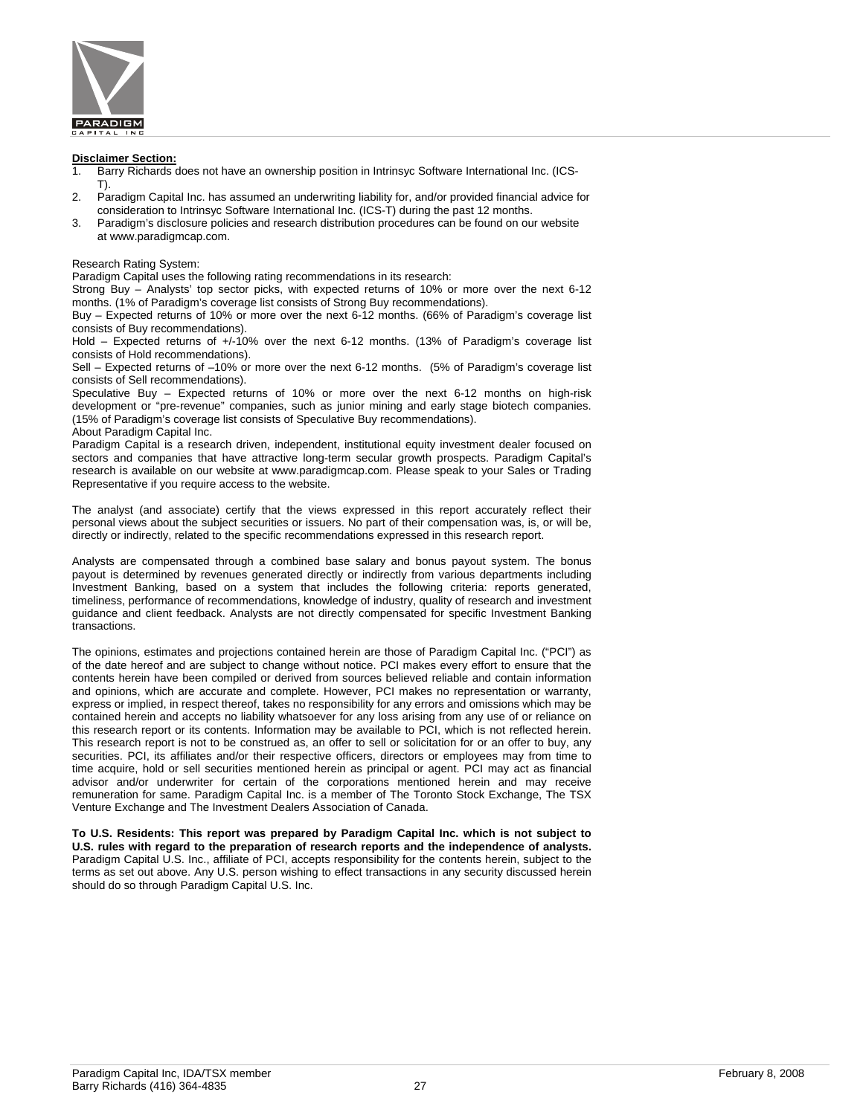

#### **Disclaimer Section:**

- 1. Barry Richards does not have an ownership position in Intrinsyc Software International Inc. (ICS-T).
- 2. Paradigm Capital Inc. has assumed an underwriting liability for, and/or provided financial advice for consideration to Intrinsyc Software International Inc. (ICS-T) during the past 12 months.
- 3. Paradigm's disclosure policies and research distribution procedures can be found on our website at www.paradigmcap.com.

Research Rating System:

Paradigm Capital uses the following rating recommendations in its research:

Strong Buy – Analysts' top sector picks, with expected returns of 10% or more over the next 6-12 months. (1% of Paradigm's coverage list consists of Strong Buy recommendations).

Buy – Expected returns of 10% or more over the next 6-12 months. (66% of Paradigm's coverage list consists of Buy recommendations).

Hold – Expected returns of +/-10% over the next 6-12 months. (13% of Paradigm's coverage list consists of Hold recommendations).

Sell – Expected returns of –10% or more over the next 6-12 months. (5% of Paradigm's coverage list consists of Sell recommendations).

Speculative Buy – Expected returns of 10% or more over the next 6-12 months on high-risk development or "pre-revenue" companies, such as junior mining and early stage biotech companies. (15% of Paradigm's coverage list consists of Speculative Buy recommendations).

About Paradigm Capital Inc.

Paradigm Capital is a research driven, independent, institutional equity investment dealer focused on sectors and companies that have attractive long-term secular growth prospects. Paradigm Capital's research is available on our website at www.paradigmcap.com. Please speak to your Sales or Trading Representative if you require access to the website.

The analyst (and associate) certify that the views expressed in this report accurately reflect their personal views about the subject securities or issuers. No part of their compensation was, is, or will be, directly or indirectly, related to the specific recommendations expressed in this research report.

Analysts are compensated through a combined base salary and bonus payout system. The bonus payout is determined by revenues generated directly or indirectly from various departments including Investment Banking, based on a system that includes the following criteria: reports generated, timeliness, performance of recommendations, knowledge of industry, quality of research and investment guidance and client feedback. Analysts are not directly compensated for specific Investment Banking transactions.

The opinions, estimates and projections contained herein are those of Paradigm Capital Inc. ("PCI") as of the date hereof and are subject to change without notice. PCI makes every effort to ensure that the contents herein have been compiled or derived from sources believed reliable and contain information and opinions, which are accurate and complete. However, PCI makes no representation or warranty, express or implied, in respect thereof, takes no responsibility for any errors and omissions which may be contained herein and accepts no liability whatsoever for any loss arising from any use of or reliance on this research report or its contents. Information may be available to PCI, which is not reflected herein. This research report is not to be construed as, an offer to sell or solicitation for or an offer to buy, any securities. PCI, its affiliates and/or their respective officers, directors or employees may from time to time acquire, hold or sell securities mentioned herein as principal or agent. PCI may act as financial advisor and/or underwriter for certain of the corporations mentioned herein and may receive remuneration for same. Paradigm Capital Inc. is a member of The Toronto Stock Exchange, The TSX Venture Exchange and The Investment Dealers Association of Canada.

**To U.S. Residents: This report was prepared by Paradigm Capital Inc. which is not subject to U.S. rules with regard to the preparation of research reports and the independence of analysts.** Paradigm Capital U.S. Inc., affiliate of PCI, accepts responsibility for the contents herein, subject to the terms as set out above. Any U.S. person wishing to effect transactions in any security discussed herein should do so through Paradigm Capital U.S. Inc.